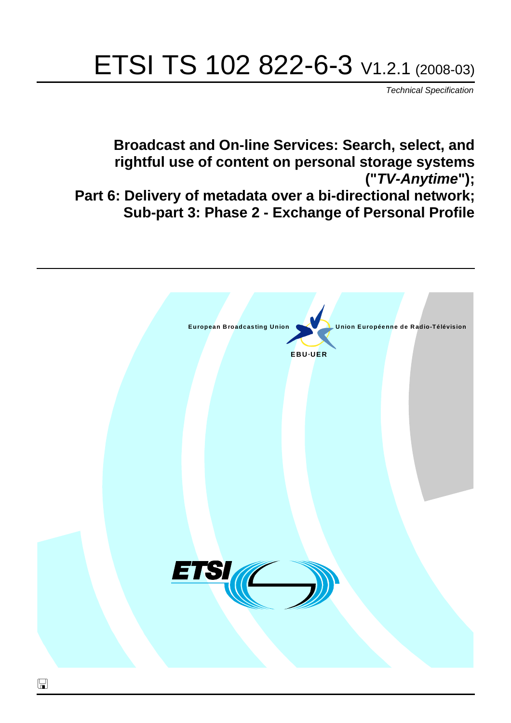# ETSI TS 102 822-6-3 V1.2.1 (2008-03)

*Technical Specification*

**Broadcast and On-line Services: Search, select, and rightful use of content on personal storage systems ("***TV-Anytime***"); Part 6: Delivery of metadata over a bi-directional network; Sub-part 3: Phase 2 - Exchange of Personal Profile**

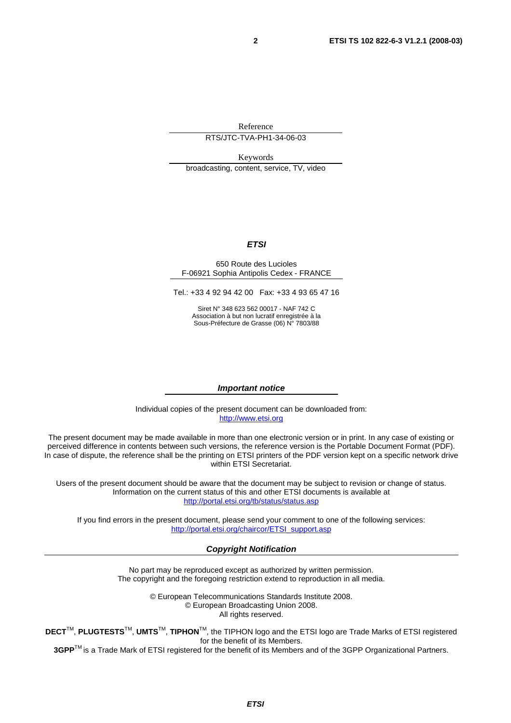Reference

RTS/JTC-TVA-PH1-34-06-03

Keywords broadcasting, content, service, TV, video

# *ETSI*

#### 650 Route des Lucioles F-06921 Sophia Antipolis Cedex - FRANCE

Tel.: +33 4 92 94 42 00 Fax: +33 4 93 65 47 16

Siret N° 348 623 562 00017 - NAF 742 C Association à but non lucratif enregistrée à la Sous-Préfecture de Grasse (06) N° 7803/88

#### *Important notice*

Individual copies of the present document can be downloaded from: [http://www.etsi.org](http://www.etsi.org/)

The present document may be made available in more than one electronic version or in print. In any case of existing or perceived difference in contents between such versions, the reference version is the Portable Document Format (PDF). In case of dispute, the reference shall be the printing on ETSI printers of the PDF version kept on a specific network drive within ETSI Secretariat.

Users of the present document should be aware that the document may be subject to revision or change of status. Information on the current status of this and other ETSI documents is available at <http://portal.etsi.org/tb/status/status.asp>

If you find errors in the present document, please send your comment to one of the following services: [http://portal.etsi.org/chaircor/ETSI\\_support.asp](http://portal.etsi.org/chaircor/ETSI_support.asp)

#### *Copyright Notification*

No part may be reproduced except as authorized by written permission. The copyright and the foregoing restriction extend to reproduction in all media.

> © European Telecommunications Standards Institute 2008. © European Broadcasting Union 2008. All rights reserved.

**DECT**TM, **PLUGTESTS**TM, **UMTS**TM, **TIPHON**TM, the TIPHON logo and the ETSI logo are Trade Marks of ETSI registered for the benefit of its Members.

**3GPP**TM is a Trade Mark of ETSI registered for the benefit of its Members and of the 3GPP Organizational Partners.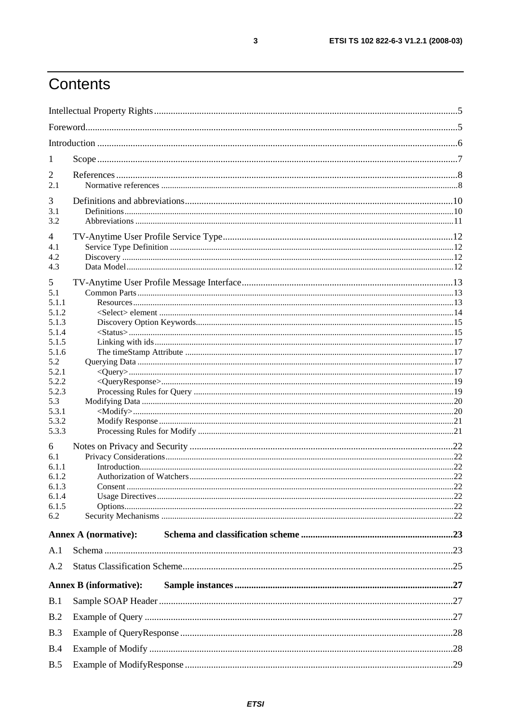# Contents

| 1              |                               |     |
|----------------|-------------------------------|-----|
| $\overline{2}$ |                               |     |
| 2.1            |                               |     |
| 3              |                               |     |
| 3.1            |                               |     |
| 3.2            |                               |     |
| 4              |                               |     |
| 4.1            |                               |     |
| 4.2            |                               |     |
| 4.3            |                               |     |
| 5              |                               |     |
| 5.1<br>5.1.1   |                               |     |
| 5.1.2          |                               |     |
| 5.1.3          |                               |     |
| 5.1.4          |                               |     |
| 5.1.5          |                               |     |
| 5.1.6          |                               |     |
| 5.2<br>5.2.1   |                               |     |
| 5.2.2          |                               |     |
| 5.2.3          |                               |     |
| 5.3            |                               |     |
| 5.3.1          |                               |     |
| 5.3.2          |                               |     |
| 5.3.3          |                               |     |
| 6              |                               |     |
| 6.1            |                               |     |
| 6.1.1<br>6.1.2 |                               |     |
| 6.1.3          | Consent.                      | .22 |
| 6.1.4          |                               |     |
| 6.1.5          | Options                       |     |
| 6.2            |                               |     |
|                | <b>Annex A (normative):</b>   |     |
| A.1            |                               |     |
| A.2            |                               |     |
|                | <b>Annex B</b> (informative): |     |
| B.1            |                               |     |
| B.2            |                               |     |
| B.3            |                               |     |
| B.4            |                               |     |
| B.5            |                               |     |
|                |                               |     |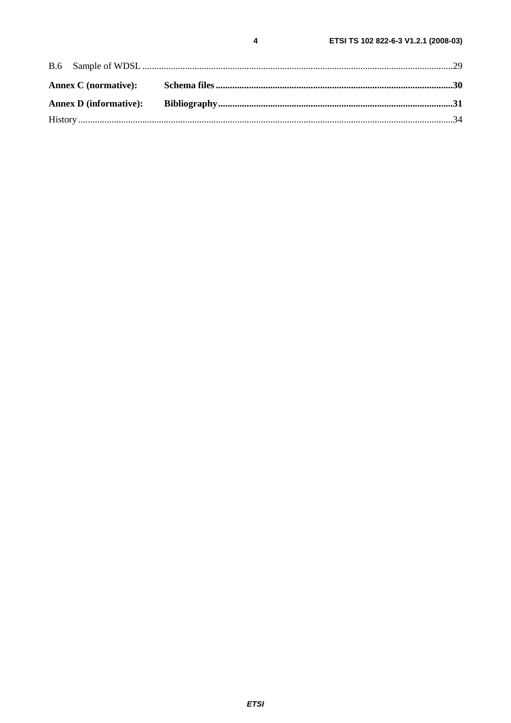$\overline{\mathbf{4}}$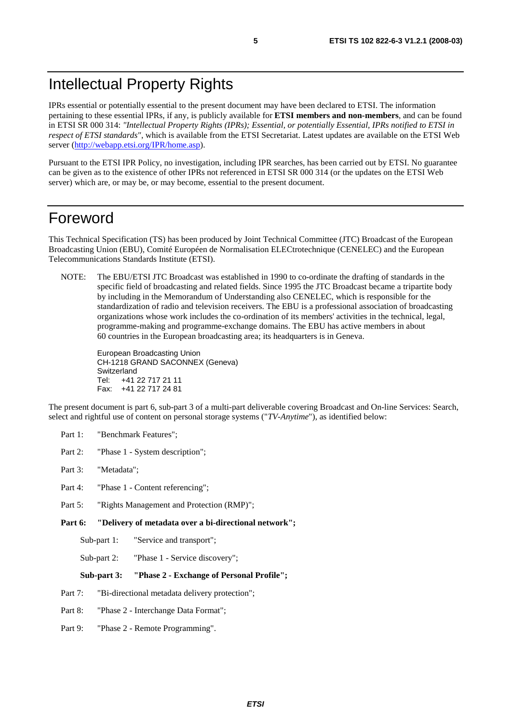## Intellectual Property Rights

IPRs essential or potentially essential to the present document may have been declared to ETSI. The information pertaining to these essential IPRs, if any, is publicly available for **ETSI members and non-members**, and can be found in ETSI SR 000 314: *"Intellectual Property Rights (IPRs); Essential, or potentially Essential, IPRs notified to ETSI in respect of ETSI standards"*, which is available from the ETSI Secretariat. Latest updates are available on the ETSI Web server ([http://webapp.etsi.org/IPR/home.asp\)](http://webapp.etsi.org/IPR/home.asp).

Pursuant to the ETSI IPR Policy, no investigation, including IPR searches, has been carried out by ETSI. No guarantee can be given as to the existence of other IPRs not referenced in ETSI SR 000 314 (or the updates on the ETSI Web server) which are, or may be, or may become, essential to the present document.

### Foreword

This Technical Specification (TS) has been produced by Joint Technical Committee (JTC) Broadcast of the European Broadcasting Union (EBU), Comité Européen de Normalisation ELECtrotechnique (CENELEC) and the European Telecommunications Standards Institute (ETSI).

NOTE: The EBU/ETSI JTC Broadcast was established in 1990 to co-ordinate the drafting of standards in the specific field of broadcasting and related fields. Since 1995 the JTC Broadcast became a tripartite body by including in the Memorandum of Understanding also CENELEC, which is responsible for the standardization of radio and television receivers. The EBU is a professional association of broadcasting organizations whose work includes the co-ordination of its members' activities in the technical, legal, programme-making and programme-exchange domains. The EBU has active members in about 60 countries in the European broadcasting area; its headquarters is in Geneva.

European Broadcasting Union CH-1218 GRAND SACONNEX (Geneva) Switzerland Tel: +41 22 717 21 11 Fax: +41 22 717 24 81

The present document is part 6, sub-part 3 of a multi-part deliverable covering Broadcast and On-line Services: Search, select and rightful use of content on personal storage systems ("*TV-Anytime*"), as identified below:

- Part 1: "Benchmark Features";
- Part 2: "Phase 1 System description";
- Part 3: "Metadata";
- Part 4: "Phase 1 Content referencing":
- Part 5: "Rights Management and Protection (RMP)";
- **Part 6: "Delivery of metadata over a bi-directional network";** 
	- Sub-part 1: "Service and transport";
	- Sub-part 2: "Phase 1 Service discovery";

#### **Sub-part 3: "Phase 2 - Exchange of Personal Profile";**

- Part 7: "Bi-directional metadata delivery protection";
- Part 8: "Phase 2 Interchange Data Format";
- Part 9: "Phase 2 Remote Programming".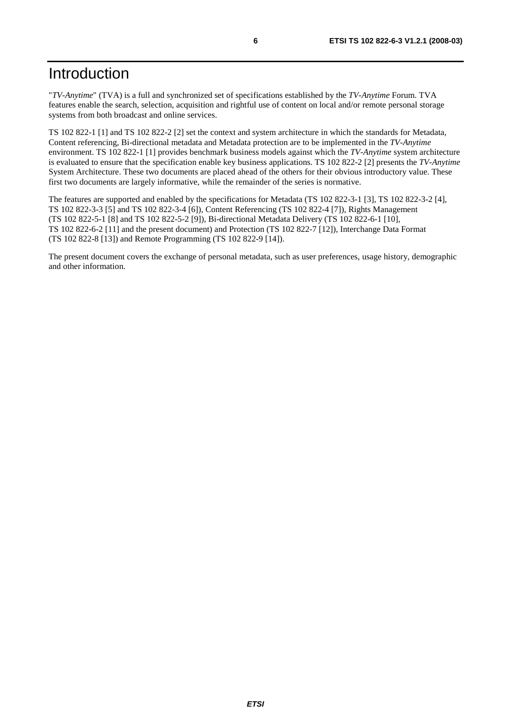# Introduction

"*TV-Anytime*" (TVA) is a full and synchronized set of specifications established by the *TV-Anytime* Forum. TVA features enable the search, selection, acquisition and rightful use of content on local and/or remote personal storage systems from both broadcast and online services.

TS 102 822-1 [1] and TS 102 822-2 [2] set the context and system architecture in which the standards for Metadata, Content referencing, Bi-directional metadata and Metadata protection are to be implemented in the *TV-Anytime* environment. TS 102 822-1 [1] provides benchmark business models against which the *TV-Anytime* system architecture is evaluated to ensure that the specification enable key business applications. TS 102 822-2 [2] presents the *TV-Anytime* System Architecture. These two documents are placed ahead of the others for their obvious introductory value. These first two documents are largely informative, while the remainder of the series is normative.

The features are supported and enabled by the specifications for Metadata (TS 102 822-3-1 [3], TS 102 822-3-2 [4], TS 102 822-3-3 [5] and TS 102 822-3-4 [6]), Content Referencing (TS 102 822-4 [7]), Rights Management (TS 102 822-5-1 [8] and TS 102 822-5-2 [9]), Bi-directional Metadata Delivery (TS 102 822-6-1 [10], TS 102 822-6-2 [11] and the present document) and Protection (TS 102 822-7 [12]), Interchange Data Format (TS 102 822-8 [13]) and Remote Programming (TS 102 822-9 [14]).

The present document covers the exchange of personal metadata, such as user preferences, usage history, demographic and other information.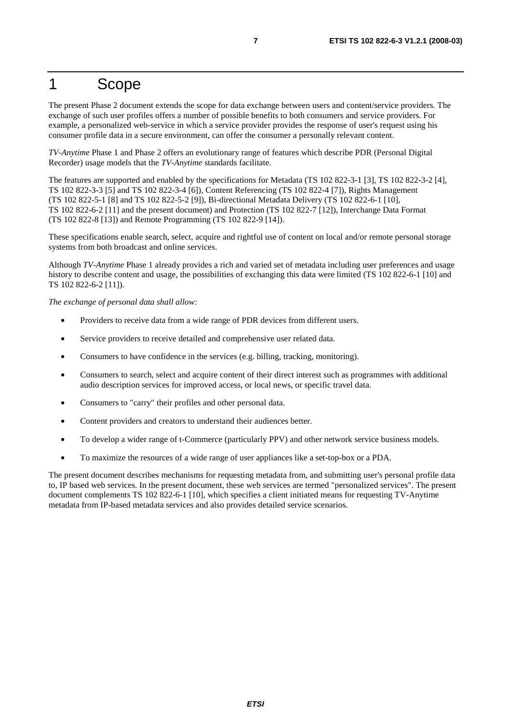# 1 Scope

The present Phase 2 document extends the scope for data exchange between users and content/service providers. The exchange of such user profiles offers a number of possible benefits to both consumers and service providers. For example, a personalized web-service in which a service provider provides the response of user's request using his consumer profile data in a secure environment, can offer the consumer a personally relevant content.

*TV-Anytime* Phase 1 and Phase 2 offers an evolutionary range of features which describe PDR (Personal Digital Recorder) usage models that the *TV-Anytime* standards facilitate.

The features are supported and enabled by the specifications for Metadata (TS 102 822-3-1 [3], TS 102 822-3-2 [4], TS 102 822-3-3 [5] and TS 102 822-3-4 [6]), Content Referencing (TS 102 822-4 [7]), Rights Management (TS 102 822-5-1 [8] and TS 102 822-5-2 [9]), Bi-directional Metadata Delivery (TS 102 822-6-1 [10], TS 102 822-6-2 [11] and the present document) and Protection (TS 102 822-7 [12]), Interchange Data Format (TS 102 822-8 [13]) and Remote Programming (TS 102 822-9 [14]).

These specifications enable search, select, acquire and rightful use of content on local and/or remote personal storage systems from both broadcast and online services.

Although *TV-Anytime* Phase 1 already provides a rich and varied set of metadata including user preferences and usage history to describe content and usage, the possibilities of exchanging this data were limited (TS 102 822-6-1 [10] and TS 102 822-6-2 [11]).

*The exchange of personal data shall allow:* 

- Providers to receive data from a wide range of PDR devices from different users.
- Service providers to receive detailed and comprehensive user related data.
- Consumers to have confidence in the services (e.g. billing, tracking, monitoring).
- Consumers to search, select and acquire content of their direct interest such as programmes with additional audio description services for improved access, or local news, or specific travel data.
- Consumers to "carry" their profiles and other personal data.
- Content providers and creators to understand their audiences better.
- To develop a wider range of t-Commerce (particularly PPV) and other network service business models.
- To maximize the resources of a wide range of user appliances like a set-top-box or a PDA.

The present document describes mechanisms for requesting metadata from, and submitting user's personal profile data to, IP based web services. In the present document, these web services are termed "personalized services". The present document complements TS 102 822-6-1 [10], which specifies a client initiated means for requesting TV-Anytime metadata from IP-based metadata services and also provides detailed service scenarios.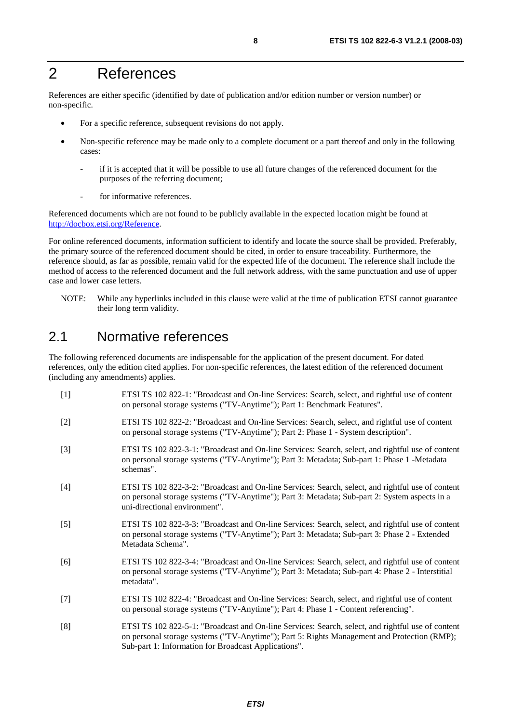# 2 References

References are either specific (identified by date of publication and/or edition number or version number) or non-specific.

- For a specific reference, subsequent revisions do not apply.
- Non-specific reference may be made only to a complete document or a part thereof and only in the following cases:
	- if it is accepted that it will be possible to use all future changes of the referenced document for the purposes of the referring document;
	- for informative references.

Referenced documents which are not found to be publicly available in the expected location might be found at <http://docbox.etsi.org/Reference>.

For online referenced documents, information sufficient to identify and locate the source shall be provided. Preferably, the primary source of the referenced document should be cited, in order to ensure traceability. Furthermore, the reference should, as far as possible, remain valid for the expected life of the document. The reference shall include the method of access to the referenced document and the full network address, with the same punctuation and use of upper case and lower case letters.

NOTE: While any hyperlinks included in this clause were valid at the time of publication ETSI cannot guarantee their long term validity.

### 2.1 Normative references

The following referenced documents are indispensable for the application of the present document. For dated references, only the edition cited applies. For non-specific references, the latest edition of the referenced document (including any amendments) applies.

| $[1]$ | ETSI TS 102 822-1: "Broadcast and On-line Services: Search, select, and rightful use of content<br>on personal storage systems ("TV-Anytime"); Part 1: Benchmark Features".                                                                              |
|-------|----------------------------------------------------------------------------------------------------------------------------------------------------------------------------------------------------------------------------------------------------------|
| $[2]$ | ETSI TS 102 822-2: "Broadcast and On-line Services: Search, select, and rightful use of content<br>on personal storage systems ("TV-Anytime"); Part 2: Phase 1 - System description".                                                                    |
| $[3]$ | ETSI TS 102 822-3-1: "Broadcast and On-line Services: Search, select, and rightful use of content<br>on personal storage systems ("TV-Anytime"); Part 3: Metadata; Sub-part 1: Phase 1 -Metadata<br>schemas".                                            |
| $[4]$ | ETSI TS 102 822-3-2: "Broadcast and On-line Services: Search, select, and rightful use of content<br>on personal storage systems ("TV-Anytime"); Part 3: Metadata; Sub-part 2: System aspects in a<br>uni-directional environment".                      |
| $[5]$ | ETSI TS 102 822-3-3: "Broadcast and On-line Services: Search, select, and rightful use of content<br>on personal storage systems ("TV-Anytime"); Part 3: Metadata; Sub-part 3: Phase 2 - Extended<br>Metadata Schema".                                   |
| [6]   | ETSI TS 102 822-3-4: "Broadcast and On-line Services: Search, select, and rightful use of content<br>on personal storage systems ("TV-Anytime"); Part 3: Metadata; Sub-part 4: Phase 2 - Interstitial<br>metadata".                                      |
| $[7]$ | ETSI TS 102 822-4: "Broadcast and On-line Services: Search, select, and rightful use of content<br>on personal storage systems ("TV-Anytime"); Part 4: Phase 1 - Content referencing".                                                                   |
| [8]   | ETSI TS 102 822-5-1: "Broadcast and On-line Services: Search, select, and rightful use of content<br>on personal storage systems ("TV-Anytime"); Part 5: Rights Management and Protection (RMP);<br>Sub-part 1: Information for Broadcast Applications". |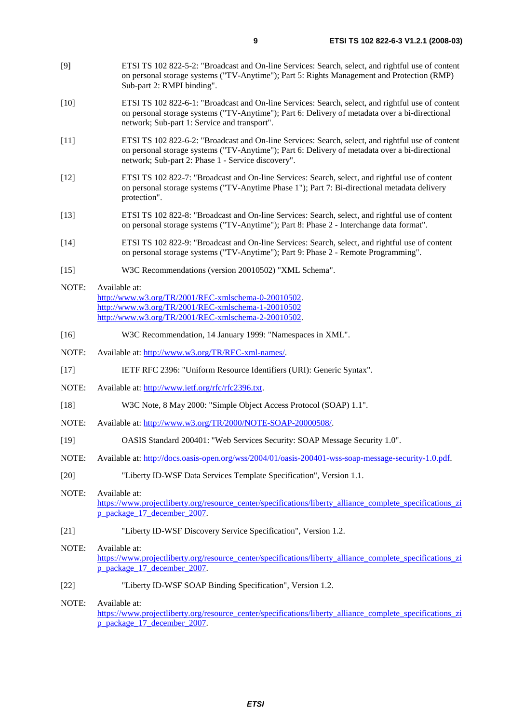- [9] ETSI TS 102 822-5-2: "Broadcast and On-line Services: Search, select, and rightful use of content on personal storage systems ("TV-Anytime"); Part 5: Rights Management and Protection (RMP) Sub-part 2: RMPI binding".
- [10] ETSI TS 102 822-6-1: "Broadcast and On-line Services: Search, select, and rightful use of content on personal storage systems ("TV-Anytime"); Part 6: Delivery of metadata over a bi-directional network; Sub-part 1: Service and transport".
- [11] ETSI TS 102 822-6-2: "Broadcast and On-line Services: Search, select, and rightful use of content on personal storage systems ("TV-Anytime"); Part 6: Delivery of metadata over a bi-directional network; Sub-part 2: Phase 1 - Service discovery".
- [12] ETSI TS 102 822-7: "Broadcast and On-line Services: Search, select, and rightful use of content on personal storage systems ("TV-Anytime Phase 1"); Part 7: Bi-directional metadata delivery protection".
- [13] ETSI TS 102 822-8: "Broadcast and On-line Services: Search, select, and rightful use of content on personal storage systems ("TV-Anytime"); Part 8: Phase 2 - Interchange data format".
- [14] ETSI TS 102 822-9: "Broadcast and On-line Services: Search, select, and rightful use of content on personal storage systems ("TV-Anytime"); Part 9: Phase 2 - Remote Programming".
- [15] W3C Recommendations (version 20010502) "XML Schema".
- NOTE: Available at: [http://www.w3.org/TR/2001/REC-xmlschema-0-20010502.](http://www.w3.org/TR/2001/REC-xmlschema-0-20010502) <http://www.w3.org/TR/2001/REC-xmlschema-1-20010502> [http://www.w3.org/TR/2001/REC-xmlschema-2-20010502.](http://www.w3.org/XML/Schema)
- [16] W3C Recommendation, 14 January 1999: "Namespaces in XML".
- NOTE: Available at: [http://www.w3.org/TR/REC-xml-names/.](http://www.w3.org/TR/REC-xml-names/)
- [17] IETF RFC 2396: "Uniform Resource Identifiers (URI): Generic Syntax".
- NOTE: Available at:<http://www.ietf.org/rfc/rfc2396.txt>.
- [18] W3C Note, 8 May 2000: "Simple Object Access Protocol (SOAP) 1.1".
- NOTE: Available at:<http://www.w3.org/TR/2000/NOTE-SOAP-20000508/>.
- [19] OASIS Standard 200401: "Web Services Security: SOAP Message Security 1.0".
- NOTE: Available at: [http://docs.oasis-open.org/wss/2004/01/oasis-200401-wss-soap-message-security-1.0.pdf.](http://docs.oasis-open.org/wss/2004/01/oasis-200401-wss-soap-message-security-1.0.pdf)
- [20] "Liberty ID-WSF Data Services Template Specification", Version 1.1.
- NOTE: Available at: [https://www.projectliberty.org/resource\\_center/specifications/liberty\\_alliance\\_complete\\_specifications\\_zi](https://www.projectliberty.org/resource_center/specifications/liberty_alliance_complete_specifications_zip_package_17_december_2007) [p\\_package\\_17\\_december\\_2007](https://www.projectliberty.org/resource_center/specifications/liberty_alliance_complete_specifications_zip_package_17_december_2007).
- [21] "Liberty ID-WSF Discovery Service Specification", Version 1.2.
- NOTE: Available at: [https://www.projectliberty.org/resource\\_center/specifications/liberty\\_alliance\\_complete\\_specifications\\_zi](https://www.projectliberty.org/resource_center/specifications/liberty_alliance_complete_specifications_zip_package_17_december_2007) [p\\_package\\_17\\_december\\_2007](https://www.projectliberty.org/resource_center/specifications/liberty_alliance_complete_specifications_zip_package_17_december_2007).
- [22] "Liberty ID-WSF SOAP Binding Specification", Version 1.2.
- NOTE: Available at: [https://www.projectliberty.org/resource\\_center/specifications/liberty\\_alliance\\_complete\\_specifications\\_zi](https://www.projectliberty.org/resource_center/specifications/liberty_alliance_complete_specifications_zip_package_17_december_2007) [p\\_package\\_17\\_december\\_2007](https://www.projectliberty.org/resource_center/specifications/liberty_alliance_complete_specifications_zip_package_17_december_2007).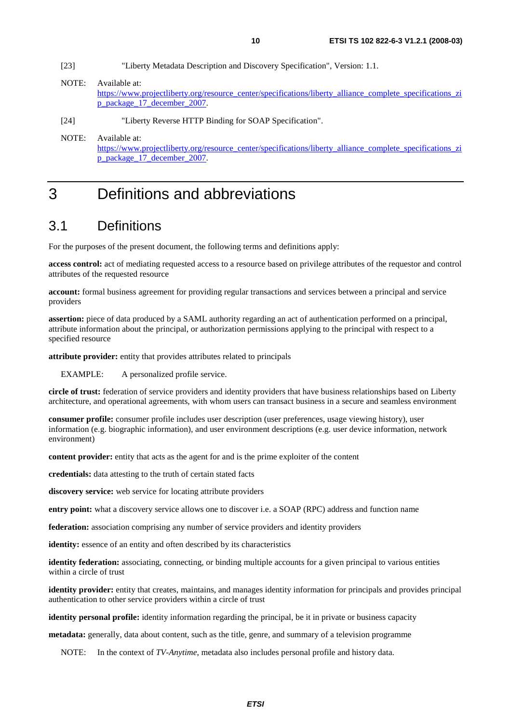- [23] "Liberty Metadata Description and Discovery Specification", Version: 1.1.
- NOTE: Available at: [https://www.projectliberty.org/resource\\_center/specifications/liberty\\_alliance\\_complete\\_specifications\\_zi](https://www.projectliberty.org/resource_center/specifications/liberty_alliance_complete_specifications_zip_package_17_december_2007) [p\\_package\\_17\\_december\\_2007](https://www.projectliberty.org/resource_center/specifications/liberty_alliance_complete_specifications_zip_package_17_december_2007).
- [24] "Liberty Reverse HTTP Binding for SOAP Specification".
- NOTE: Available at: [https://www.projectliberty.org/resource\\_center/specifications/liberty\\_alliance\\_complete\\_specifications\\_zi](https://www.projectliberty.org/resource_center/specifications/liberty_alliance_complete_specifications_zip_package_17_december_2007) [p\\_package\\_17\\_december\\_2007](https://www.projectliberty.org/resource_center/specifications/liberty_alliance_complete_specifications_zip_package_17_december_2007).

# 3 Definitions and abbreviations

### 3.1 Definitions

For the purposes of the present document, the following terms and definitions apply:

**access control:** act of mediating requested access to a resource based on privilege attributes of the requestor and control attributes of the requested resource

**account:** formal business agreement for providing regular transactions and services between a principal and service providers

**assertion:** piece of data produced by a SAML authority regarding an act of authentication performed on a principal, attribute information about the principal, or authorization permissions applying to the principal with respect to a specified resource

**attribute provider:** entity that provides attributes related to principals

EXAMPLE: A personalized profile service.

**circle of trust:** federation of service providers and identity providers that have business relationships based on Liberty architecture, and operational agreements, with whom users can transact business in a secure and seamless environment

**consumer profile:** consumer profile includes user description (user preferences, usage viewing history), user information (e.g. biographic information), and user environment descriptions (e.g. user device information, network environment)

**content provider:** entity that acts as the agent for and is the prime exploiter of the content

**credentials:** data attesting to the truth of certain stated facts

**discovery service:** web service for locating attribute providers

**entry point:** what a discovery service allows one to discover i.e. a SOAP (RPC) address and function name

**federation:** association comprising any number of service providers and identity providers

**identity:** essence of an entity and often described by its characteristics

**identity federation:** associating, connecting, or binding multiple accounts for a given principal to various entities within a circle of trust

**identity provider:** entity that creates, maintains, and manages identity information for principals and provides principal authentication to other service providers within a circle of trust

**identity personal profile:** identity information regarding the principal, be it in private or business capacity

**metadata:** generally, data about content, such as the title, genre, and summary of a television programme

NOTE: In the context of *TV-Anytime*, metadata also includes personal profile and history data.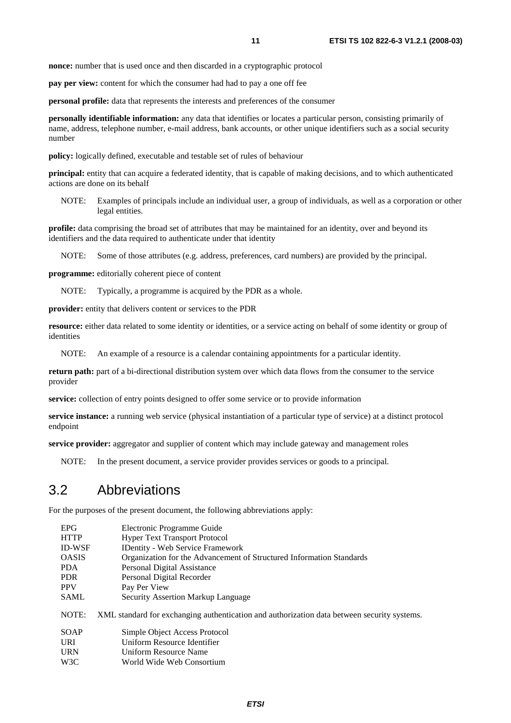**pay per view:** content for which the consumer had had to pay a one off fee

**personal profile:** data that represents the interests and preferences of the consumer

**personally identifiable information:** any data that identifies or locates a particular person, consisting primarily of name, address, telephone number, e-mail address, bank accounts, or other unique identifiers such as a social security number

**policy:** logically defined, executable and testable set of rules of behaviour

**principal:** entity that can acquire a federated identity, that is capable of making decisions, and to which authenticated actions are done on its behalf

NOTE: Examples of principals include an individual user, a group of individuals, as well as a corporation or other legal entities.

**profile:** data comprising the broad set of attributes that may be maintained for an identity, over and beyond its identifiers and the data required to authenticate under that identity

NOTE: Some of those attributes (e.g. address, preferences, card numbers) are provided by the principal.

**programme:** editorially coherent piece of content

NOTE: Typically, a programme is acquired by the PDR as a whole.

**provider:** entity that delivers content or services to the PDR

**resource:** either data related to some identity or identities, or a service acting on behalf of some identity or group of identities

NOTE: An example of a resource is a calendar containing appointments for a particular identity.

**return path:** part of a bi-directional distribution system over which data flows from the consumer to the service provider

**service:** collection of entry points designed to offer some service or to provide information

**service instance:** a running web service (physical instantiation of a particular type of service) at a distinct protocol endpoint

**service provider:** aggregator and supplier of content which may include gateway and management roles

NOTE: In the present document, a service provider provides services or goods to a principal.

### 3.2 Abbreviations

For the purposes of the present document, the following abbreviations apply:

| <b>EPG</b>    | Electronic Programme Guide                                                                  |
|---------------|---------------------------------------------------------------------------------------------|
| <b>HTTP</b>   | <b>Hyper Text Transport Protocol</b>                                                        |
| <b>ID-WSF</b> | <b>IDentity - Web Service Framework</b>                                                     |
| <b>OASIS</b>  | Organization for the Advancement of Structured Information Standards                        |
| <b>PDA</b>    | Personal Digital Assistance                                                                 |
| <b>PDR</b>    | Personal Digital Recorder                                                                   |
| <b>PPV</b>    | Pay Per View                                                                                |
| <b>SAML</b>   | <b>Security Assertion Markup Language</b>                                                   |
| NOTE:         | XML standard for exchanging authentication and authorization data between security systems. |
| <b>SOAP</b>   | Simple Object Access Protocol                                                               |
| <b>URI</b>    | Uniform Resource Identifier                                                                 |
| <b>URN</b>    | Uniform Resource Name                                                                       |
| W3C           | World Wide Web Consortium                                                                   |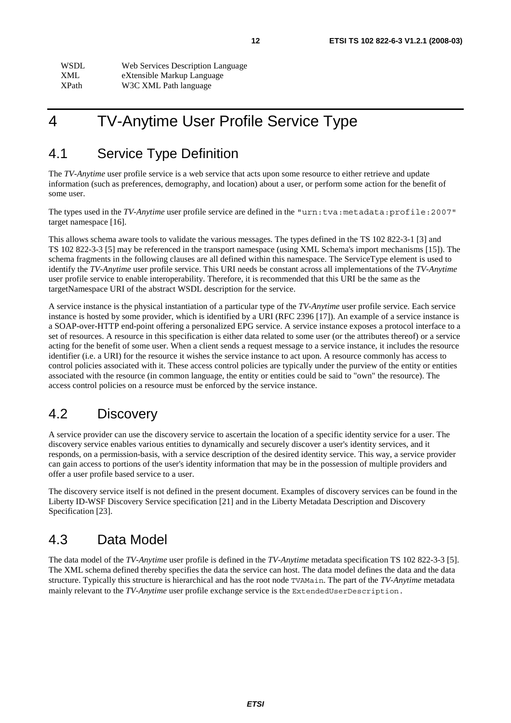| <b>WSDL</b>  | Web Services Description Language |
|--------------|-----------------------------------|
| XML.         | eXtensible Markup Language        |
| <b>XPath</b> | W3C XML Path language             |

# 4 TV-Anytime User Profile Service Type

### 4.1 Service Type Definition

The *TV-Anytime* user profile service is a web service that acts upon some resource to either retrieve and update information (such as preferences, demography, and location) about a user, or perform some action for the benefit of some user.

The types used in the *TV-Anytime* user profile service are defined in the "urn:tva:metadata:profile:2007" target namespace [16].

This allows schema aware tools to validate the various messages. The types defined in the TS 102 822-3-1 [3] and TS 102 822-3-3 [5] may be referenced in the transport namespace (using XML Schema's import mechanisms [15]). The schema fragments in the following clauses are all defined within this namespace. The ServiceType element is used to identify the *TV-Anytime* user profile service. This URI needs be constant across all implementations of the *TV-Anytime* user profile service to enable interoperability. Therefore, it is recommended that this URI be the same as the targetNamespace URI of the abstract WSDL description for the service.

A service instance is the physical instantiation of a particular type of the *TV-Anytime* user profile service. Each service instance is hosted by some provider, which is identified by a URI (RFC 2396 [17]). An example of a service instance is a SOAP-over-HTTP end-point offering a personalized EPG service. A service instance exposes a protocol interface to a set of resources. A resource in this specification is either data related to some user (or the attributes thereof) or a service acting for the benefit of some user. When a client sends a request message to a service instance, it includes the resource identifier (i.e. a URI) for the resource it wishes the service instance to act upon. A resource commonly has access to control policies associated with it. These access control policies are typically under the purview of the entity or entities associated with the resource (in common language, the entity or entities could be said to "own" the resource). The access control policies on a resource must be enforced by the service instance.

# 4.2 Discovery

A service provider can use the discovery service to ascertain the location of a specific identity service for a user. The discovery service enables various entities to dynamically and securely discover a user's identity services, and it responds, on a permission-basis, with a service description of the desired identity service. This way, a service provider can gain access to portions of the user's identity information that may be in the possession of multiple providers and offer a user profile based service to a user.

The discovery service itself is not defined in the present document. Examples of discovery services can be found in the Liberty ID-WSF Discovery Service specification [21] and in the Liberty Metadata Description and Discovery Specification [23].

# 4.3 Data Model

The data model of the *TV-Anytime* user profile is defined in the *TV-Anytime* metadata specification TS 102 822-3-3 [5]. The XML schema defined thereby specifies the data the service can host. The data model defines the data and the data structure. Typically this structure is hierarchical and has the root node TVAMain. The part of the *TV-Anytime* metadata mainly relevant to the *TV-Anytime* user profile exchange service is the ExtendedUserDescription.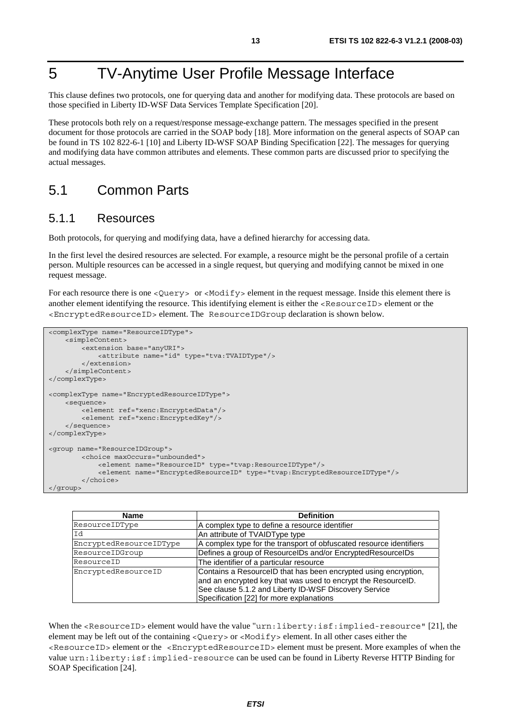# 5 TV-Anytime User Profile Message Interface

This clause defines two protocols, one for querying data and another for modifying data. These protocols are based on those specified in Liberty ID-WSF Data Services Template Specification [20].

These protocols both rely on a request/response message-exchange pattern. The messages specified in the present document for those protocols are carried in the SOAP body [18]. More information on the general aspects of SOAP can be found in TS 102 822-6-1 [10] and Liberty ID-WSF SOAP Binding Specification [22]. The messages for querying and modifying data have common attributes and elements. These common parts are discussed prior to specifying the actual messages.

### 5.1 Common Parts

#### 5.1.1 Resources

Both protocols, for querying and modifying data, have a defined hierarchy for accessing data.

In the first level the desired resources are selected. For example, a resource might be the personal profile of a certain person. Multiple resources can be accessed in a single request, but querying and modifying cannot be mixed in one request message.

For each resource there is one <Query> or <Modify> element in the request message. Inside this element there is another element identifying the resource. This identifying element is either the <ResourceID> element or the <EncryptedResourceID> element. The ResourceIDGroup declaration is shown below.

```
<complexType name="ResourceIDType"> 
     <simpleContent> 
         <extension base="anyURI"> 
             <attribute name="id" type="tva:TVAIDType"/> 
         </extension> 
     </simpleContent> 
</complexType> 
<complexType name="EncryptedResourceIDType"> 
     <sequence> 
         <element ref="xenc:EncryptedData"/> 
         <element ref="xenc:EncryptedKey"/> 
     </sequence> 
</complexType> 
<group name="ResourceIDGroup"> 
         <choice maxOccurs="unbounded"> 
             <element name="ResourceID" type="tvap:ResourceIDType"/> 
              <element name="EncryptedResourceID" type="tvap:EncryptedResourceIDType"/> 
         </choice> 
</group>
```

| <b>Name</b>             | <b>Definition</b>                                                                                                                                                                                                                     |
|-------------------------|---------------------------------------------------------------------------------------------------------------------------------------------------------------------------------------------------------------------------------------|
| ResourceIDType          | A complex type to define a resource identifier                                                                                                                                                                                        |
| Id                      | An attribute of TVAIDType type                                                                                                                                                                                                        |
| EncryptedResourceIDType | A complex type for the transport of obfuscated resource identifiers                                                                                                                                                                   |
| ResourceIDGroup         | Defines a group of ResourceIDs and/or EncryptedResourceIDs                                                                                                                                                                            |
| ResourceID              | The identifier of a particular resource                                                                                                                                                                                               |
| EncryptedResourceID     | Contains a ResourceID that has been encrypted using encryption,<br>and an encrypted key that was used to encrypt the ResourceID.<br>See clause 5.1.2 and Liberty ID-WSF Discovery Service<br>Specification [22] for more explanations |

When the <ResourceID> element would have the value "urn:liberty:isf:implied-resource" [21], the element may be left out of the containing <Query> or <Modify> element. In all other cases either the <ResourceID> element or the <EncryptedResourceID> element must be present. More examples of when the value urn:liberty:isf:implied-resource can be used can be found in Liberty Reverse HTTP Binding for SOAP Specification [24].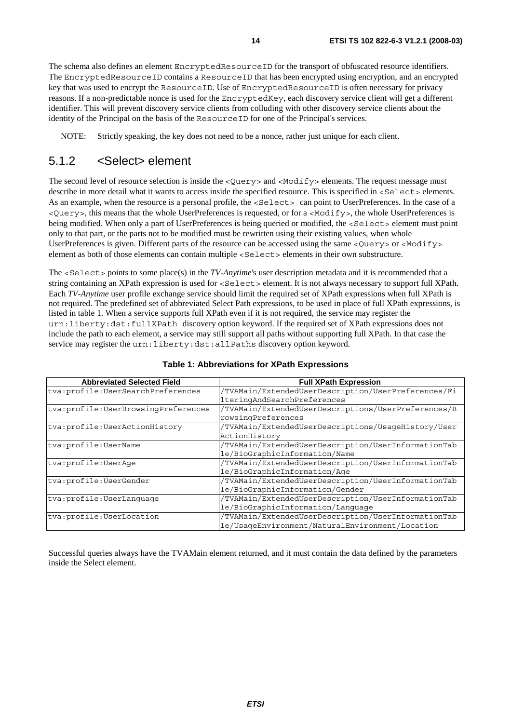The schema also defines an element EncryptedResourceID for the transport of obfuscated resource identifiers. The EncryptedResourceID contains a ResourceID that has been encrypted using encryption, and an encrypted key that was used to encrypt the ResourceID. Use of EncryptedResourceID is often necessary for privacy reasons. If a non-predictable nonce is used for the EncryptedKey, each discovery service client will get a different identifier. This will prevent discovery service clients from colluding with other discovery service clients about the identity of the Principal on the basis of the ResourceID for one of the Principal's services.

NOTE: Strictly speaking, the key does not need to be a nonce, rather just unique for each client.

### 5.1.2 <Select> element

The second level of resource selection is inside the <Query> and <Modify> elements. The request message must describe in more detail what it wants to access inside the specified resource. This is specified in <Select> elements. As an example, when the resource is a personal profile, the <Select> can point to UserPreferences. In the case of a <Query>, this means that the whole UserPreferences is requested, or for a <Modify>, the whole UserPreferences is being modified. When only a part of UserPreferences is being queried or modified, the <Select> element must point only to that part, or the parts not to be modified must be rewritten using their existing values, when whole UserPreferences is given. Different parts of the resource can be accessed using the same <Query> or <Modify> element as both of those elements can contain multiple <Select> elements in their own substructure.

The <Select> points to some place(s) in the *TV-Anytime*'s user description metadata and it is recommended that a string containing an XPath expression is used for <Select> element. It is not always necessary to support full XPath. Each *TV-Anytime* user profile exchange service should limit the required set of XPath expressions when full XPath is not required. The predefined set of abbreviated Select Path expressions, to be used in place of full XPath expressions, is listed in table 1. When a service supports full XPath even if it is not required, the service may register the urn:liberty:dst:fullXPath discovery option keyword. If the required set of XPath expressions does not include the path to each element, a service may still support all paths without supporting full XPath. In that case the service may register the urn:liberty:dst:allPaths discovery option keyword.

| <b>Abbreviated Selected Field</b>     | <b>Full XPath Expression</b>                        |
|---------------------------------------|-----------------------------------------------------|
| tva:profile:UserSearchPreferences     | /TVAMain/ExtendedUserDescription/UserPreferences/Fi |
|                                       | lteringAndSearchPreferences                         |
| tva: profile: UserBrowsingPreferences | /TVAMain/ExtendedUserDescriptions/UserPreferences/B |
|                                       | rowsingPreferences                                  |
| tva: profile: UserActionHistory       | /TVAMain/ExtendedUserDescriptions/UsaqeHistory/User |
|                                       | ActionHistory                                       |
| tva:profile:UserName                  | /TVAMain/ExtendedUserDescription/UserInformationTab |
|                                       | le/BioGraphicInformation/Name                       |
| tva: profile: UserAge                 | /TVAMain/ExtendedUserDescription/UserInformationTab |
|                                       | le/BioGraphicInformation/Aqe                        |
| tva: profile: UserGender              | /TVAMain/ExtendedUserDescription/UserInformationTab |
|                                       | le/BioGraphicInformation/Gender                     |
| tva: profile: UserLanquaqe            | /TVAMain/ExtendedUserDescription/UserInformationTab |
|                                       | le/BioGraphicInformation/Lanquage                   |
| tva: profile: UserLocation            | /TVAMain/ExtendedUserDescription/UserInformationTab |
|                                       | le/UsageEnvironment/NaturalEnvironment/Location     |

#### **Table 1: Abbreviations for XPath Expressions**

Successful queries always have the TVAMain element returned, and it must contain the data defined by the parameters inside the Select element.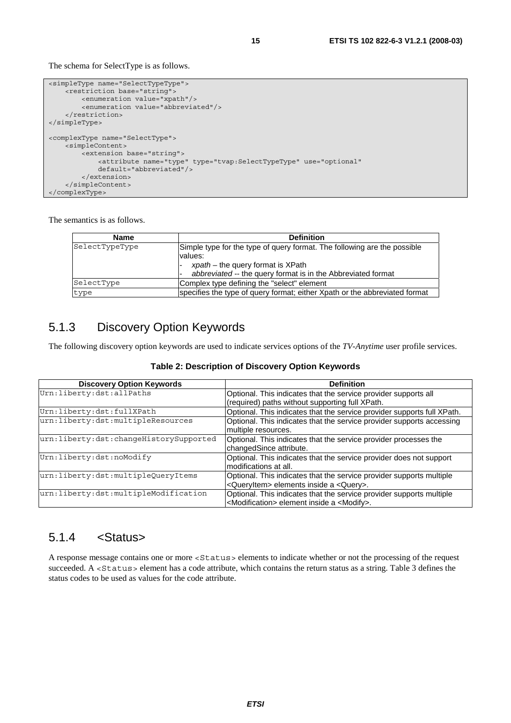The schema for SelectType is as follows.

```
<simpleType name="SelectTypeType"> 
    -<br><restriction base="string"
         <enumeration value="xpath"/> 
         <enumeration value="abbreviated"/> 
     </restriction> 
</simpleType> 
<complexType name="SelectType"> 
     <simpleContent> 
         <extension base="string"> 
             <attribute name="type" type="tvap:SelectTypeType" use="optional" 
             default="abbreviated"/> 
         </extension> 
     </simpleContent> 
</complexType>
```
The semantics is as follows.

| <b>Name</b>    | <b>Definition</b>                                                          |
|----------------|----------------------------------------------------------------------------|
| SelectTypeType | Simple type for the type of query format. The following are the possible   |
|                | values:                                                                    |
|                | $x$ path – the query format is XPath                                       |
|                | abbreviated -- the query format is in the Abbreviated format               |
| SelectType     | Complex type defining the "select" element                                 |
| type           | specifies the type of query format; either Xpath or the abbreviated format |

### 5.1.3 Discovery Option Keywords

The following discovery option keywords are used to indicate services options of the *TV-Anytime* user profile services.

| Table 2: Description of Discovery Option Keywords |  |  |  |
|---------------------------------------------------|--|--|--|
|---------------------------------------------------|--|--|--|

| <b>Discovery Option Keywords</b>       | <b>Definition</b>                                                       |
|----------------------------------------|-------------------------------------------------------------------------|
| Urn:liberty:dst:allPaths               | Optional. This indicates that the service provider supports all         |
|                                        | (required) paths without supporting full XPath.                         |
| Urn:liberty:dst:fullXPath              | Optional. This indicates that the service provider supports full XPath. |
| urn:liberty:dst:multipleResources      | Optional. This indicates that the service provider supports accessing   |
|                                        | multiple resources.                                                     |
| urn:liberty:dst:changeHistorySupported | Optional. This indicates that the service provider processes the        |
|                                        | changedSince attribute.                                                 |
| Urn:liberty:dst:noModify               | Optional. This indicates that the service provider does not support     |
|                                        | modifications at all.                                                   |
| urn:liberty:dst:multipleQueryItems     | Optional. This indicates that the service provider supports multiple    |
|                                        | <queryitem> elements inside a <query>.</query></queryitem>              |
| urn:liberty:dst:multipleModification   | Optional. This indicates that the service provider supports multiple    |
|                                        | <modification> element inside a <modify>.</modify></modification>       |

#### 5.1.4 <Status>

A response message contains one or more <Status> elements to indicate whether or not the processing of the request succeeded. A <Status> element has a code attribute, which contains the return status as a string. Table 3 defines the status codes to be used as values for the code attribute.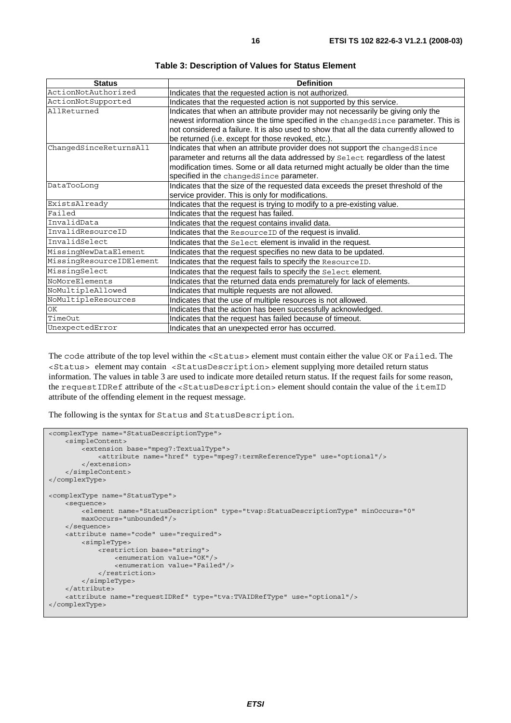| <b>Status</b>            | <b>Definition</b>                                                                        |
|--------------------------|------------------------------------------------------------------------------------------|
| ActionNotAuthorized      | Indicates that the requested action is not authorized.                                   |
| ActionNotSupported       | Indicates that the requested action is not supported by this service.                    |
| AllReturned              | Indicates that when an attribute provider may not necessarily be giving only the         |
|                          | newest information since the time specified in the changedSince parameter. This is       |
|                          | not considered a failure. It is also used to show that all the data currently allowed to |
|                          | be returned (i.e. except for those revoked, etc.).                                       |
| ChangedSinceReturnsAll   | Indicates that when an attribute provider does not support the changedSince              |
|                          | parameter and returns all the data addressed by Select regardless of the latest          |
|                          | modification times. Some or all data returned might actually be older than the time      |
|                          | specified in the changedSince parameter.                                                 |
| DataTooLong              | Indicates that the size of the requested data exceeds the preset threshold of the        |
|                          | service provider. This is only for modifications.                                        |
| ExistsAlready            | Indicates that the request is trying to modify to a pre-existing value.                  |
| Failed                   | Indicates that the request has failed.                                                   |
| InvalidData              | Indicates that the request contains invalid data.                                        |
| InvalidResourceID        | Indicates that the ResourceID of the request is invalid.                                 |
| InvalidSelect            | Indicates that the Select element is invalid in the request.                             |
| MissingNewDataElement    | Indicates that the request specifies no new data to be updated.                          |
| MissingResourceIDElement | Indicates that the request fails to specify the ResourceID.                              |
| MissingSelect            | Indicates that the request fails to specify the Select element.                          |
| NoMoreElements           | Indicates that the returned data ends prematurely for lack of elements.                  |
| NoMultipleAllowed        | Indicates that multiple requests are not allowed.                                        |
| NoMultipleResources      | Indicates that the use of multiple resources is not allowed.                             |
| ОK                       | Indicates that the action has been successfully acknowledged.                            |
| TimeOut                  | Indicates that the request has failed because of timeout.                                |
| UnexpectedError          | Indicates that an unexpected error has occurred.                                         |

**Table 3: Description of Values for Status Element** 

The code attribute of the top level within the <Status> element must contain either the value OK or Failed. The <Status> element may contain <StatusDescription> element supplying more detailed return status information. The values in table 3 are used to indicate more detailed return status. If the request fails for some reason, the requestIDRef attribute of the <StatusDescription> element should contain the value of the itemID attribute of the offending element in the request message.

The following is the syntax for Status and StatusDescription.

```
<complexType name="StatusDescriptionType"> 
     <simpleContent> 
        -<br><extension base="mpeg7:TextualType">
              <attribute name="href" type="mpeg7:termReferenceType" use="optional"/> 
         </extension> 
     </simpleContent> 
</complexType> 
<complexType name="StatusType"> 
     <sequence> 
        .<br><element name="StatusDescription" type="tvap:StatusDescriptionType" minOccurs="0"
         maxOccurs="unbounded"/> 
     </sequence> 
     <attribute name="code" use="required"> 
         <simpleType> 
              <restriction base="string"> 
                 <enumeration value="OK"/> 
                  <enumeration value="Failed"/> 
             \langle/restriction>
         </simpleType> 
     </attribute> 
     <attribute name="requestIDRef" type="tva:TVAIDRefType" use="optional"/> 
</complexType>
```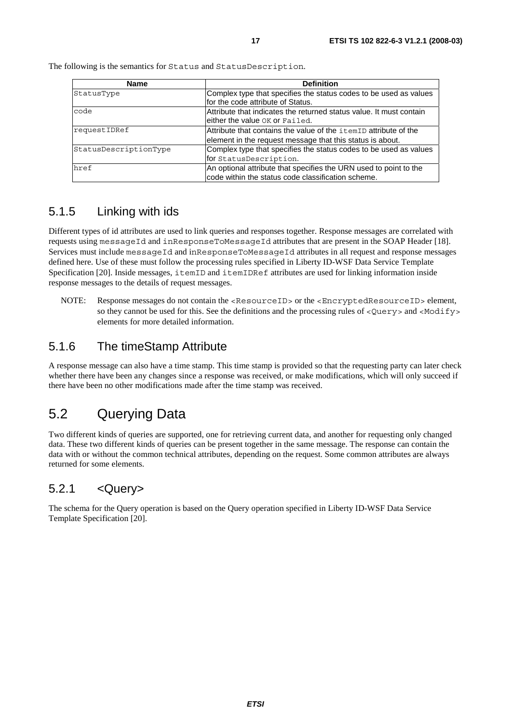| <b>Name</b>           | <b>Definition</b>                                                                                                             |
|-----------------------|-------------------------------------------------------------------------------------------------------------------------------|
| StatusType            | Complex type that specifies the status codes to be used as values<br>for the code attribute of Status.                        |
| code                  | Attribute that indicates the returned status value. It must contain<br>either the value OK or Failed.                         |
| requestIDRef          | Attribute that contains the value of the itemID attribute of the<br>element in the request message that this status is about. |
| StatusDescriptionType | Complex type that specifies the status codes to be used as values<br>for StatusDescription.                                   |
| href                  | An optional attribute that specifies the URN used to point to the<br>code within the status code classification scheme.       |

The following is the semantics for Status and StatusDescription.

### 5.1.5 Linking with ids

Different types of id attributes are used to link queries and responses together. Response messages are correlated with requests using messageId and inResponseToMessageId attributes that are present in the SOAP Header [18]. Services must include messageId and inResponseToMessageId attributes in all request and response messages defined here. Use of these must follow the processing rules specified in Liberty ID-WSF Data Service Template Specification [20]. Inside messages, itemID and itemIDRef attributes are used for linking information inside response messages to the details of request messages.

NOTE: Response messages do not contain the <ResourceID> or the <EncryptedResourceID> element, so they cannot be used for this. See the definitions and the processing rules of  $\langle Query \rangle$  and  $\langle Modify \rangle$ elements for more detailed information.

#### 5.1.6 The timeStamp Attribute

A response message can also have a time stamp. This time stamp is provided so that the requesting party can later check whether there have been any changes since a response was received, or make modifications, which will only succeed if there have been no other modifications made after the time stamp was received.

# 5.2 Querying Data

Two different kinds of queries are supported, one for retrieving current data, and another for requesting only changed data. These two different kinds of queries can be present together in the same message. The response can contain the data with or without the common technical attributes, depending on the request. Some common attributes are always returned for some elements.

### 5.2.1 <Query>

The schema for the Query operation is based on the Query operation specified in Liberty ID-WSF Data Service Template Specification [20].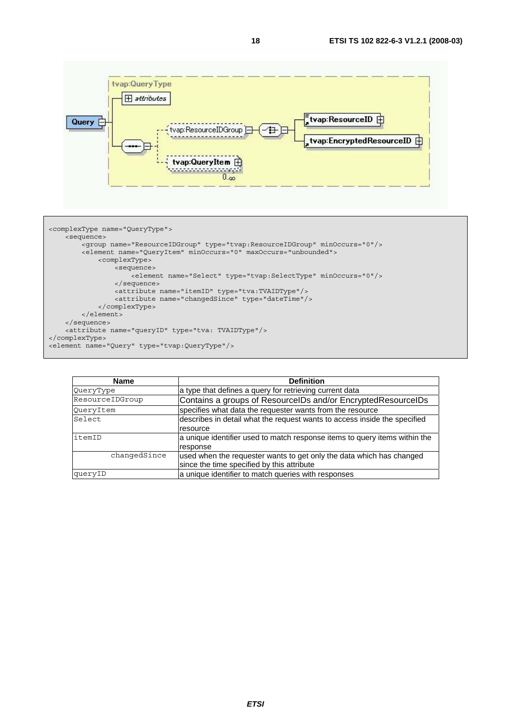



| <b>Name</b>     | <b>Definition</b>                                                          |
|-----------------|----------------------------------------------------------------------------|
| QueryType       | a type that defines a query for retrieving current data                    |
| ResourceIDGroup | Contains a groups of ResourceIDs and/or EncryptedResourceIDs               |
| QueryItem       | specifies what data the requester wants from the resource                  |
| Select          | describes in detail what the request wants to access inside the specified  |
|                 | resource                                                                   |
| itemID          | a unique identifier used to match response items to query items within the |
|                 | response                                                                   |
| changedSince    | used when the requester wants to get only the data which has changed       |
|                 | since the time specified by this attribute                                 |
| queryID         | a unique identifier to match queries with responses                        |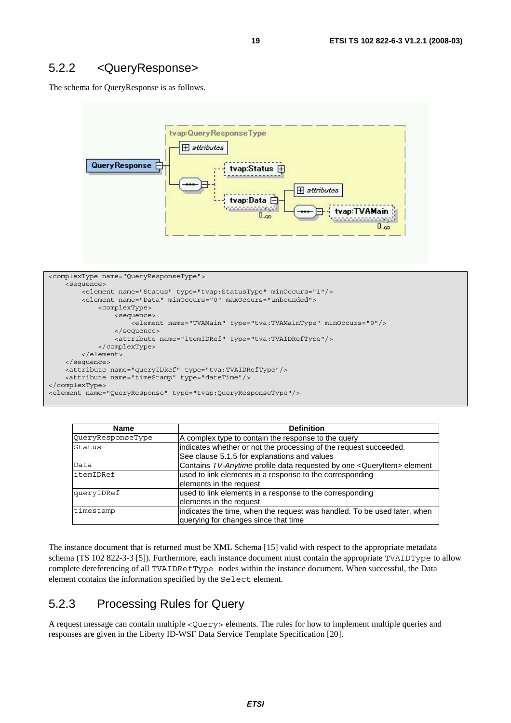#### 5.2.2 <QueryResponse>

The schema for QueryResponse is as follows.



```
<complexType name="QueryResponseType"> 
     <sequence> 
         <element name="Status" type="tvap:StatusType" minOccurs="1"/> 
         <element name="Data" minOccurs="0" maxOccurs="unbounded"> 
             <complexType> 
                  <sequence> 
                     .<br><element name="TVAMain" type="tva:TVAMainType" minOccurs="0"/>
                  </sequence> 
                  <attribute name="itemIDRef" type="tva:TVAIDRefType"/> 
             </complexType> 
         </element> 
     </sequence> 
     <attribute name="queryIDRef" type="tva:TVAIDRefType"/> 
     <attribute name="timeStamp" type="dateTime"/> 
</complexType> 
<element name="QueryResponse" type="tvap:QueryResponseType"/>
```

| Name              | <b>Definition</b>                                                        |  |
|-------------------|--------------------------------------------------------------------------|--|
| QueryResponseType | A complex type to contain the response to the query                      |  |
| Status            | indicates whether or not the processing of the request succeeded.        |  |
|                   | See clause 5.1.5 for explanations and values                             |  |
| Data              | Contains TV-Anytime profile data requested by one < QueryItem> element   |  |
| itemIDRef         | used to link elements in a response to the corresponding                 |  |
|                   | elements in the request                                                  |  |
| queryIDRef        | used to link elements in a response to the corresponding                 |  |
|                   | elements in the request                                                  |  |
| timestamp         | indicates the time, when the request was handled. To be used later, when |  |
|                   | querying for changes since that time                                     |  |

The instance document that is returned must be XML Schema [15] valid with respect to the appropriate metadata schema (TS 102 822-3-3 [5]). Furthermore, each instance document must contain the appropriate TVAIDType to allow complete dereferencing of all TVAIDRefType nodes within the instance document. When successful, the Data element contains the information specified by the Select element.

### 5.2.3 Processing Rules for Query

A request message can contain multiple <Query> elements. The rules for how to implement multiple queries and responses are given in the Liberty ID-WSF Data Service Template Specification [20].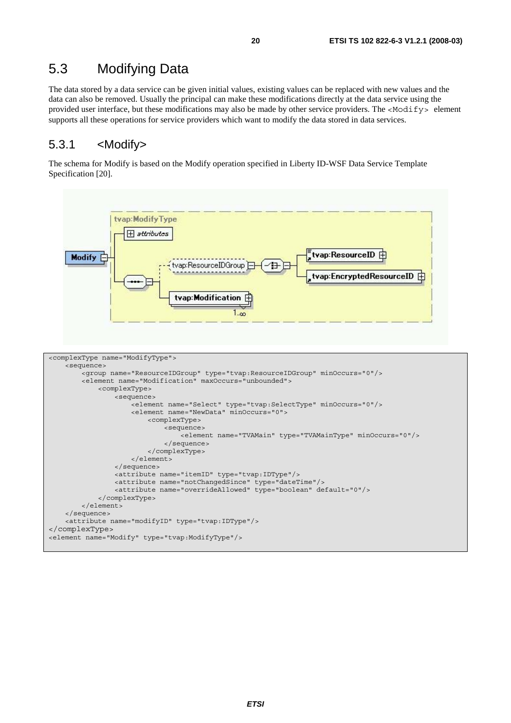# 5.3 Modifying Data

The data stored by a data service can be given initial values, existing values can be replaced with new values and the data can also be removed. Usually the principal can make these modifications directly at the data service using the provided user interface, but these modifications may also be made by other service providers. The <Modify> element supports all these operations for service providers which want to modify the data stored in data services.

#### 5.3.1 <Modify>

The schema for Modify is based on the Modify operation specified in Liberty ID-WSF Data Service Template Specification [20].

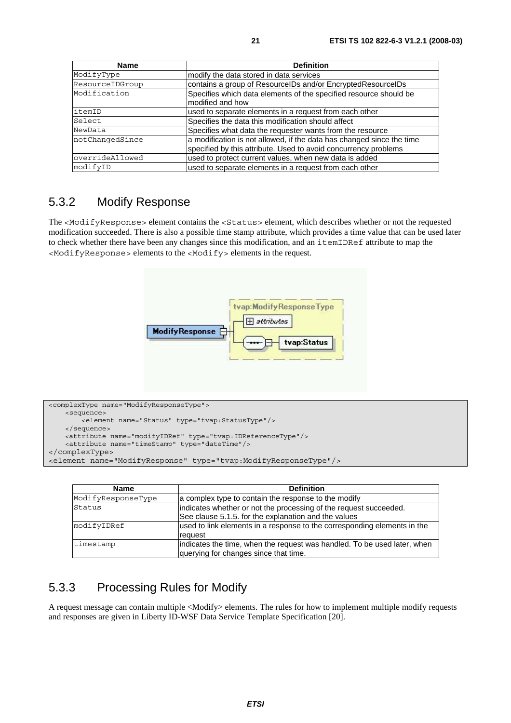| <b>Name</b>     | <b>Definition</b>                                                                                                                        |
|-----------------|------------------------------------------------------------------------------------------------------------------------------------------|
| ModifyType      | modify the data stored in data services                                                                                                  |
| ResourceIDGroup | contains a group of ResourceIDs and/or EncryptedResourceIDs                                                                              |
| Modification    | Specifies which data elements of the specified resource should be<br>modified and how                                                    |
| itemID          | used to separate elements in a request from each other                                                                                   |
| Select          | Specifies the data this modification should affect                                                                                       |
| NewData         | Specifies what data the requester wants from the resource                                                                                |
| notChangedSince | a modification is not allowed, if the data has changed since the time<br>specified by this attribute. Used to avoid concurrency problems |
| overrideAllowed | used to protect current values, when new data is added                                                                                   |
| modifyID        | used to separate elements in a request from each other                                                                                   |

#### 5.3.2 Modify Response

The <ModifyResponse> element contains the <Status> element, which describes whether or not the requested modification succeeded. There is also a possible time stamp attribute, which provides a time value that can be used later to check whether there have been any changes since this modification, and an itemIDRef attribute to map the <ModifyResponse> elements to the <Modify> elements in the request.



```
<complexType name="ModifyResponseType"> 
    <sequence> 
        .<br><element name="Status" type="tvap:StatusType"/>
     </sequence> 
    <attribute name="modifyIDRef" type="tvap:IDReferenceType"/> 
    <attribute name="timeStamp" type="dateTime"/> 
</complexType> 
<element name="ModifyResponse" type="tvap:ModifyResponseType"/>
```

| <b>Name</b>        | <b>Definition</b>                                                                                                          |
|--------------------|----------------------------------------------------------------------------------------------------------------------------|
| ModifyResponseType | a complex type to contain the response to the modify                                                                       |
| Status             | lindicates whether or not the processing of the request succeeded.<br>See clause 5.1.5. for the explanation and the values |
| modifyIDRef        | used to link elements in a response to the corresponding elements in the<br>request                                        |
| timestamp          | indicates the time, when the request was handled. To be used later, when<br>querying for changes since that time.          |

### 5.3.3 Processing Rules for Modify

A request message can contain multiple <Modify> elements. The rules for how to implement multiple modify requests and responses are given in Liberty ID-WSF Data Service Template Specification [20].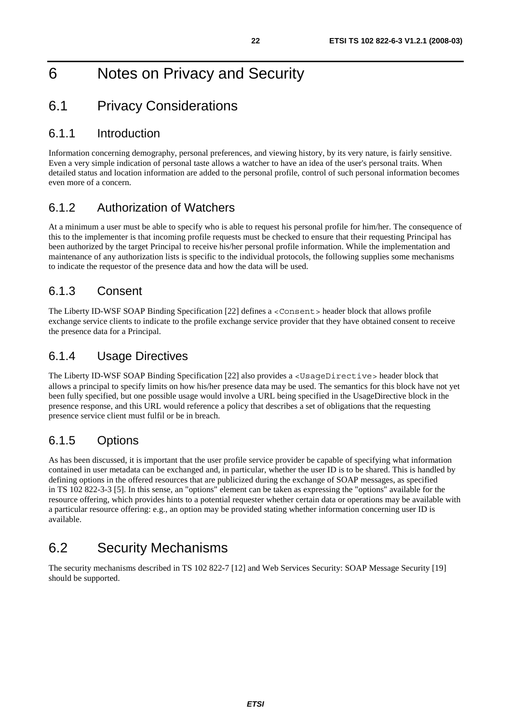# 6 Notes on Privacy and Security

### 6.1 Privacy Considerations

#### 6.1.1 Introduction

Information concerning demography, personal preferences, and viewing history, by its very nature, is fairly sensitive. Even a very simple indication of personal taste allows a watcher to have an idea of the user's personal traits. When detailed status and location information are added to the personal profile, control of such personal information becomes even more of a concern.

### 6.1.2 Authorization of Watchers

At a minimum a user must be able to specify who is able to request his personal profile for him/her. The consequence of this to the implementer is that incoming profile requests must be checked to ensure that their requesting Principal has been authorized by the target Principal to receive his/her personal profile information. While the implementation and maintenance of any authorization lists is specific to the individual protocols, the following supplies some mechanisms to indicate the requestor of the presence data and how the data will be used.

### 6.1.3 Consent

The Liberty ID-WSF SOAP Binding Specification [22] defines a <Consent> header block that allows profile exchange service clients to indicate to the profile exchange service provider that they have obtained consent to receive the presence data for a Principal.

### 6.1.4 Usage Directives

The Liberty ID-WSF SOAP Binding Specification [22] also provides a <UsageDirective> header block that allows a principal to specify limits on how his/her presence data may be used. The semantics for this block have not yet been fully specified, but one possible usage would involve a URL being specified in the UsageDirective block in the presence response, and this URL would reference a policy that describes a set of obligations that the requesting presence service client must fulfil or be in breach.

### 6.1.5 Options

As has been discussed, it is important that the user profile service provider be capable of specifying what information contained in user metadata can be exchanged and, in particular, whether the user ID is to be shared. This is handled by defining options in the offered resources that are publicized during the exchange of SOAP messages, as specified in TS 102 822-3-3 [5]. In this sense, an "options" element can be taken as expressing the "options" available for the resource offering, which provides hints to a potential requester whether certain data or operations may be available with a particular resource offering: e.g., an option may be provided stating whether information concerning user ID is available.

## 6.2 Security Mechanisms

The security mechanisms described in TS 102 822-7 [12] and Web Services Security: SOAP Message Security [19] should be supported.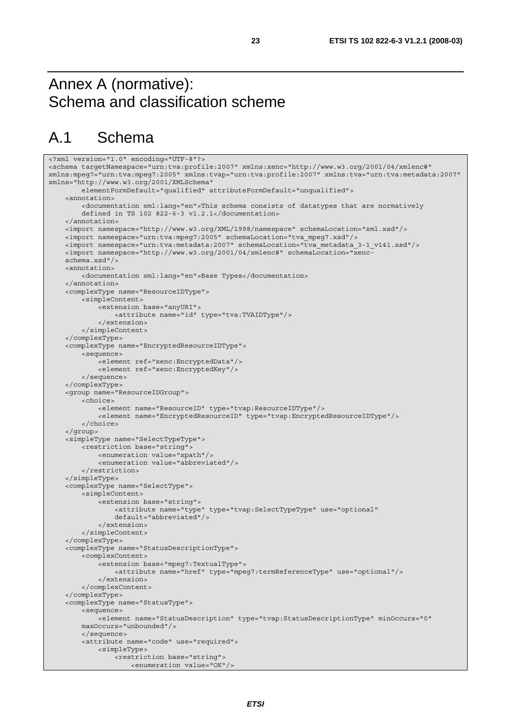# Annex A (normative): Schema and classification scheme

# A.1 Schema

```
<?xml version="1.0" encoding="UTF-8"?> 
<schema targetNamespace="urn:tva:profile:2007" xmlns:xenc="http://www.w3.org/2001/04/xmlenc#" 
xmlns:mpeg7="urn:tva:mpeg7:2005" xmlns:tvap="urn:tva:profile:2007" xmlns:tva="urn:tva:metadata:2007" 
xmlns="http://www.w3.org/2001/XMLSchema" 
         elementFormDefault="qualified" attributeFormDefault="unqualified"> 
     <annotation> 
         <documentation xml:lang="en">This schema consists of datatypes that are normatively 
         defined in TS 102 822-6-3 v1.2.1</documentation> 
     </annotation> 
     <import namespace="http://www.w3.org/XML/1998/namespace" schemaLocation="xml.xsd"/> 
     <import namespace="urn:tva:mpeg7:2005" schemaLocation="tva_mpeg7.xsd"/> 
     <import namespace="urn:tva:metadata:2007" schemaLocation="tva_metadata_3-1_v141.xsd"/> 
     <import namespace="http://www.w3.org/2001/04/xmlenc#" schemaLocation="xenc- 
     schema.xsd"/> 
     <annotation> 
         <documentation xml:lang="en">Base Types</documentation> 
     </annotation> 
     <complexType name="ResourceIDType"> 
         <simpleContent> 
             <extension base="anyURI"> 
                  <attribute name="id" type="tva:TVAIDType"/> 
              </extension> 
         </simpleContent> 
     </complexType> 
     <complexType name="EncryptedResourceIDType"> 
         <sequence> 
              <element ref="xenc:EncryptedData"/> 
             <element ref="xenc:EncryptedKey"/> 
         </sequence> 
     </complexType> 
     <group name="ResourceIDGroup"> 
         <choice> 
             <element name="ResourceID" type="tvap:ResourceIDType"/> 
             <element name="EncryptedResourceID" type="tvap:EncryptedResourceIDType"/> 
         </choice> 
     </group> 
     <simpleType name="SelectTypeType"> 
         <restriction base="string"> 
             <enumeration value="xpath"/> 
              <enumeration value="abbreviated"/> 
         </restriction> 
     </simpleType> 
     <complexType name="SelectType"> 
         <simpleContent> 
             <extension base="string"> 
                  <attribute name="type" type="tvap:SelectTypeType" use="optional" 
                  default="abbreviated"/> 
              </extension> 
         </simpleContent> 
     </complexType> 
     <complexType name="StatusDescriptionType"> 
         <complexContent> 
              <extension base="mpeg7:TextualType"> 
                  <attribute name="href" type="mpeg7:termReferenceType" use="optional"/> 
             </extension> 
         </complexContent> 
     </complexType> 
     <complexType name="StatusType"> 
         <sequence> 
              <element name="StatusDescription" type="tvap:StatusDescriptionType" minOccurs="0" 
         maxOccurs="unbounded"/> 
         </sequence> 
         <attribute name="code" use="required"> 
              <simpleType> 
                  <restriction base="string"> 
                      <enumeration value="OK"/>
```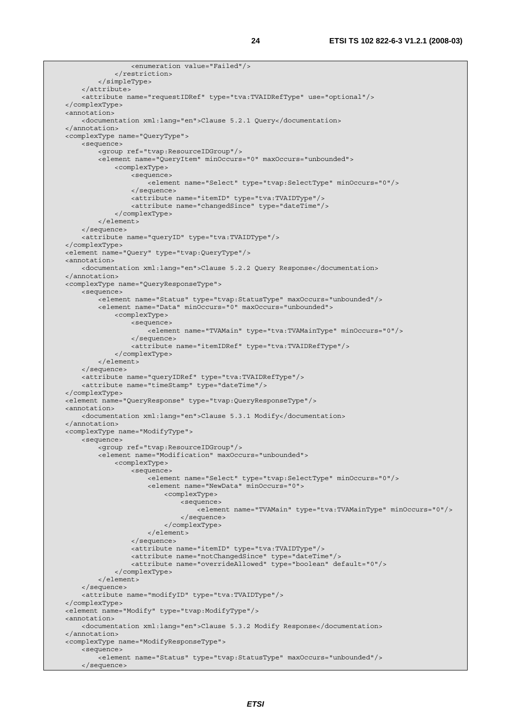```
 <enumeration value="Failed"/> 
              </restriction> 
          </simpleType> 
     </attribute> 
     <attribute name="requestIDRef" type="tva:TVAIDRefType" use="optional"/> 
 </complexType> 
 <annotation> 
     <documentation xml:lang="en">Clause 5.2.1 Query</documentation> 
 </annotation> 
 <complexType name="QueryType"> 
     <sequence> 
         <group ref="tvap:ResourceIDGroup"/> 
         <element name="QueryItem" minOccurs="0" maxOccurs="unbounded"> 
              <complexType> 
                  <sequence> 
                      <element name="Select" type="tvap:SelectType" minOccurs="0"/> 
                  </sequence> 
                  <attribute name="itemID" type="tva:TVAIDType"/> 
                  <attribute name="changedSince" type="dateTime"/> 
              </complexType> 
         </element> 
     </sequence> 
     <attribute name="queryID" type="tva:TVAIDType"/> 
 </complexType> 
 <element name="Query" type="tvap:QueryType"/> 
 <annotation> 
     <documentation xml:lang="en">Clause 5.2.2 Query Response</documentation> 
 </annotation> 
 <complexType name="QueryResponseType"> 
     <sequence> 
        -<br><element name="Status" type="tvap:StatusType" maxOccurs="unbounded"/>
         <element name="Data" minOccurs="0" maxOccurs="unbounded"> 
              <complexType> 
                  <sequence> 
                      <element name="TVAMain" type="tva:TVAMainType" minOccurs="0"/> 
                  </sequence> 
                  <attribute name="itemIDRef" type="tva:TVAIDRefType"/> 
              </complexType> 
         </element> 
     </sequence> 
     <attribute name="queryIDRef" type="tva:TVAIDRefType"/> 
     <attribute name="timeStamp" type="dateTime"/> 
 </complexType> 
 <element name="QueryResponse" type="tvap:QueryResponseType"/> 
 <annotation> 
     <documentation xml:lang="en">Clause 5.3.1 Modify</documentation> 
 </annotation> 
 <complexType name="ModifyType"> 
     <sequence> 
          <group ref="tvap:ResourceIDGroup"/> 
         <element name="Modification" maxOccurs="unbounded"> 
              <complexType> 
                  <sequence> 
                      <element name="Select" type="tvap:SelectType" minOccurs="0"/> 
                      <element name="NewData" minOccurs="0"> 
                           <complexType> 
                               <sequence> 
                                   <element name="TVAMain" type="tva:TVAMainType" minOccurs="0"/> 
                               </sequence> 
                           </complexType> 
                      </element> 
                  </sequence> 
                  <attribute name="itemID" type="tva:TVAIDType"/> 
                  <attribute name="notChangedSince" type="dateTime"/> 
                  <attribute name="overrideAllowed" type="boolean" default="0"/> 
              </complexType> 
         </element> 
     </sequence> 
     <attribute name="modifyID" type="tva:TVAIDType"/> 
 </complexType> 
 <element name="Modify" type="tvap:ModifyType"/> 
 <annotation> 
     <documentation xml:lang="en">Clause 5.3.2 Modify Response</documentation> 
 </annotation> 
 <complexType name="ModifyResponseType"> 
     <sequence> 
         <element name="Status" type="tvap:StatusType" maxOccurs="unbounded"/> 
     </sequence>
```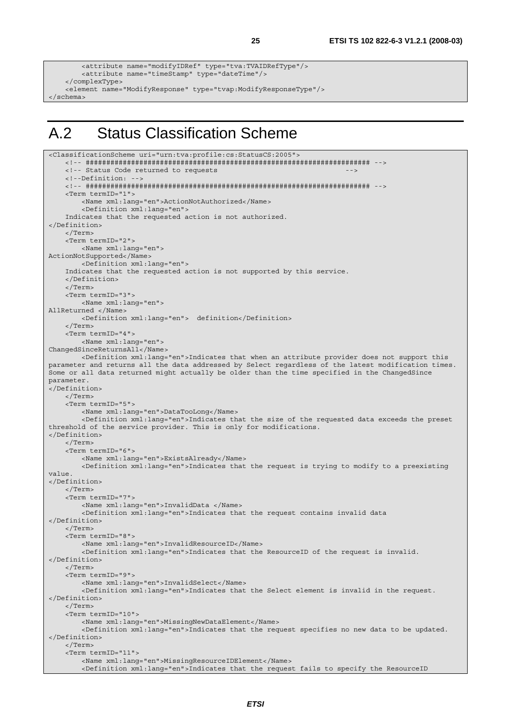```
 <attribute name="modifyIDRef" type="tva:TVAIDRefType"/> 
         <attribute name="timeStamp" type="dateTime"/> 
     </complexType> 
    <element name="ModifyResponse" type="tvap:ModifyResponseType"/> 
</schema>
```
# A.2 Status Classification Scheme

```
<ClassificationScheme uri="urn:tva:profile:cs:StatusCS:2005"> 
     <!-- ##################################################################### --> 
    <!-- Status Code returned to requests
     <!--Definition: --> 
     <!-- ##################################################################### --> 
     <Term termID="1"> 
         <Name xml:lang="en">ActionNotAuthorized</Name> 
         <Definition xml:lang="en"> 
     Indicates that the requested action is not authorized. 
</Definition> 
     </Term> 
     <Term termID="2"> 
         <Name xml:lang="en"> 
ActionNotSupported</Name> 
         <Definition xml:lang="en"> 
     Indicates that the requested action is not supported by this service. 
     </Definition> 
     </Term> 
     <Term termID="3"> 
         <Name xml:lang="en"> 
AllReturned </Name> 
         <Definition xml:lang="en"> definition</Definition> 
     </Term> 
     <Term termID="4"> 
         <Name xml:lang="en"> 
ChangedSinceReturnsAll</Name> 
         <Definition xml:lang="en">Indicates that when an attribute provider does not support this 
parameter and returns all the data addressed by Select regardless of the latest modification times. 
Some or all data returned might actually be older than the time specified in the ChangedSince 
parameter. 
</Definition> 
     </Term> 
     <Term termID="5"> 
         <Name xml:lang="en">DataTooLong</Name> 
         <Definition xml:lang="en">Indicates that the size of the requested data exceeds the preset 
threshold of the service provider. This is only for modifications. 
</Definition> 
     </Term> 
     <Term termID="6"> 
         <Name xml:lang="en">ExistsAlready</Name> 
         <Definition xml:lang="en">Indicates that the request is trying to modify to a preexisting 
value. 
</Definition> 
     </Term> 
     <Term termID="7"> 
         <Name xml:lang="en">InvalidData </Name> 
         <Definition xml:lang="en">Indicates that the request contains invalid data 
</Definition> 
     </Term> 
     <Term termID="8"> 
         <Name xml:lang="en">InvalidResourceID</Name> 
         <Definition xml:lang="en">Indicates that the ResourceID of the request is invalid. 
</Definition> 
     </Term> 
     <Term termID="9"> 
         <Name xml:lang="en">InvalidSelect</Name> 
         <Definition xml:lang="en">Indicates that the Select element is invalid in the request. 
</Definition> 
     </Term> 
     <Term termID="10"> 
         <Name xml:lang="en">MissingNewDataElement</Name> 
         <Definition xml:lang="en">Indicates that the request specifies no new data to be updated. 
</Definition> 
     </Term> 
     <Term termID="11"> 
         <Name xml:lang="en">MissingResourceIDElement</Name> 
         <Definition xml:lang="en">Indicates that the request fails to specify the ResourceID
```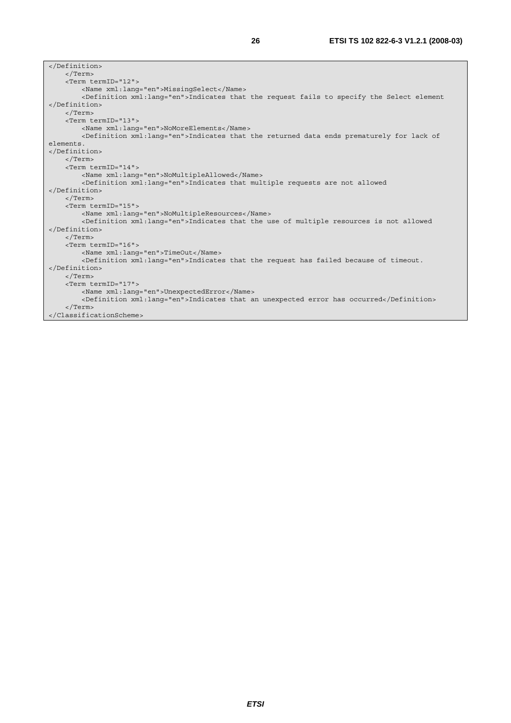| $\langle$ Term>                                                                                       |
|-------------------------------------------------------------------------------------------------------|
| <term termid="12"></term>                                                                             |
| <name xml:lang="en">MissingSelect</name>                                                              |
| <definition xml:lang="en">Indicates that the request fails to specify the Select element</definition> |
|                                                                                                       |
| $\langle$ /Term>                                                                                      |
| <term termid="13"></term>                                                                             |
| <name xml:lang="en">NoMoreElements</name>                                                             |
| <definition xml:lanq="en">Indicates that the returned data ends prematurely for lack of</definition>  |
| elements.                                                                                             |
|                                                                                                       |
| $\langle$ Term>                                                                                       |
| <term termid="14"></term>                                                                             |
| <name xml:lang="en">NoMultipleAllowed</name>                                                          |
| <definition xml:lang="en">Indicates that multiple requests are not allowed</definition>               |
|                                                                                                       |
| $\langle$ Term>                                                                                       |
| <term termid="15"></term>                                                                             |
| <name xml:lang="en">NoMultipleResources</name>                                                        |
| <definition xml:lang="en">Indicates that the use of multiple resources is not allowed</definition>    |
|                                                                                                       |
| $\langle$ Term>                                                                                       |
| <term termid="16"></term>                                                                             |
| <name lang="en" xml:="">TimeOut</name>                                                                |
| <definition xml:lang="en">Indicates that the request has failed because of timeout.</definition>      |
|                                                                                                       |
| $\langle$ Term>                                                                                       |
| <term termid="17"></term>                                                                             |
| <name xml:lang="en">UnexpectedError</name>                                                            |
| <definition xml:lang="en">Indicates that an unexpected error has occurred</definition>                |
| $\langle$ Term>                                                                                       |
|                                                                                                       |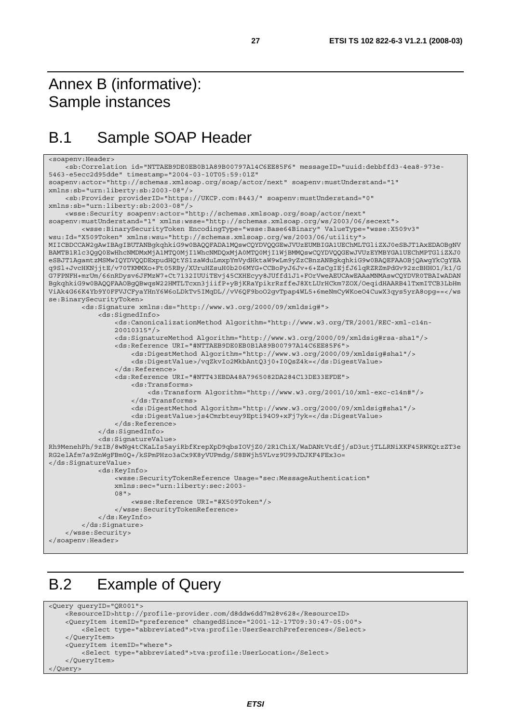# Annex B (informative): Sample instances

# B.1 Sample SOAP Header

```
<soapenv:Header> 
     <sb:Correlation id="NTTAEB9DE0EB0B1A89B00797A14C6EE85F6" messageID="uuid:debbffd3-4ea8-973e-
5463-e5ecc2d95dde" timestamp="2004-03-10T05:59:01Z" 
soapenv:actor="http://schemas.xmlsoap.org/soap/actor/next" soapenv:mustUnderstand="1" 
xmlns:sb="urn:liberty:sb:2003-08"/> 
     <sb:Provider providerID="https://UKCP.com:8443/" soapenv:mustUnderstand="0" 
xmlns:sb="urn:liberty:sb:2003-08"/> 
     <wsse:Security soapenv:actor="http://schemas.xmlsoap.org/soap/actor/next" 
soapenv:mustUnderstand="1" xmlns:wsse="http://schemas.xmlsoap.org/ws/2003/06/secext"> 
         <wsse:BinarySecurityToken EncodingType="wsse:Base64Binary" ValueType="wsse:X509v3" 
wsu:Id="X509Token" xmlns:wsu="http://schemas.xmlsoap.org/ws/2003/06/utility"> 
MIICBDCCAW2gAwIBAgIBUTANBgkqhkiG9w0BAQQFADA1MQswCQYDVQQGEwJVUzEUMBIGA1UEChMLTGliZXJ0eSBJT1AxEDAOBgNV
BAMTB1Rlc3QgQ0EwHhcNMDMxMjA1MTQ0MjI1WhcNMDQxMjA0MTQ0MjI1WjBMMQswCQYDVQQGEwJVUzEYMBYGA1UEChMPTGliZXJ0
eSBJT1AgamtzMSMwIQYDVQQDExpudHQtYS1zaWduLmxpYmVydHktaW9wLm9yZzCBnzANBgkqhkiG9w0BAQEFAAOBjQAwgYkCgYEA
q9Sl+JvcHKNjjtE/v70TKMMXo+Ft05RBy/XUruHZsuH0b206MYG+CCBoPyJ6Jv+6+ZsCgIEjfJ6lqRZRZmPdGv92zcBHHO1/k1/G
G7FPNFH+mrUm/66nRDysv6JFMzW7+Ct7132IUUiTEvj45CXHEcyy8JUffd1J1+FOrVweAEUCAwEAAaMNMAswCQYDVR0TBAIwADAN
BgkqhkiG9w0BAQQFAAOBgQBwqsW22HMTLTcxn3jiifP+yBjKRaYpikrRzffeJ8XtLUrHCkm7ZOX/OeqidHAARB4lTxmITCB3LbHm
ViAk4G66K4Yb9Y0FFVJCFyaYHnY6W6oLDkTv5IMqDL//vV6QF9boO2gvTpap4WL5+6meNmCyWKoeO4CuwX3qys5yrA8opg==</ws
se:BinarySecurityToken> 
         <ds:Signature xmlns:ds="http://www.w3.org/2000/09/xmldsig#"> 
             <ds:SignedInfo> 
                 <ds:CanonicalizationMethod Algorithm="http://www.w3.org/TR/2001/REC-xml-c14n- 
                 20010315"/> 
                 <ds:SignatureMethod Algorithm="http://www.w3.org/2000/09/xmldsig#rsa-sha1"/> 
                 <ds:Reference URI="#NTTAEB9DE0EB0B1A89B00797A14C6EE85F6"> 
                      <ds:DigestMethod Algorithm="http://www.w3.org/2000/09/xmldsig#sha1"/> 
                      <ds:DigestValue>/vqZkvIo2MkbAntQ3j0+I0QsZ4k=</ds:DigestValue> 
                 </ds:Reference> 
                 <ds:Reference URI="#NTT43EBDA48A7965082DA284C13DE33EFDE"> 
                     <ds:Transforms> 
                          <ds:Transform Algorithm="http://www.w3.org/2001/10/xml-exc-c14n#"/> 
                      </ds:Transforms> 
                      <ds:DigestMethod Algorithm="http://www.w3.org/2000/09/xmldsig#sha1"/> 
                      <ds:DigestValue>js4Cmrbteuy9Epti94O9+xFj7yk=</ds:DigestValue> 
                 </ds:Reference> 
             </ds:SignedInfo> 
             <ds:SignatureValue> 
Rh9MenehPh/9zIB/8wNg4tCKaLIs5ayiRbfKrepXpD9qbsIOVjZ0/2R1ChiX/WaDANtVtdfj/sD3utjTLLRNiXKF45RWKQtzZT3e
RG2elAfm7a9ZnWgFBm0Q+/kSPmPHzo3aCx9K8yVUPmdg/S8BWjh5VLvz9U99JDJKF4FEx3o= 
</ds:SignatureValue> 
             <ds:KeyInfo> 
                 <wsse:SecurityTokenReference Usage="sec:MessageAuthentication" 
                 xmlns:sec="urn:liberty:sec:2003- 
                 08"> 
                     <wsse:Reference URI="#X509Token"/> 
                 </wsse:SecurityTokenReference> 
             </ds:KeyInfo> 
         </ds:Signature> 
     </wsse:Security> 
</soapenv:Header>
```
# B.2 Example of Query

```
<Query queryID="QR001"> 
     <ResourceID>http://profile-provider.com/d8ddw6dd7m28v628</ResourceID> 
    <QueryItem itemID="preference" changedSince="2001-12-17T09:30:47-05:00"> 
         <Select type="abbreviated">tva:profile:UserSearchPreferences</Select> 
     </QueryItem> 
     <QueryItem itemID="where"> 
         <Select type="abbreviated">tva:profile:UserLocation</Select> 
     </QueryItem> 
</Query>
```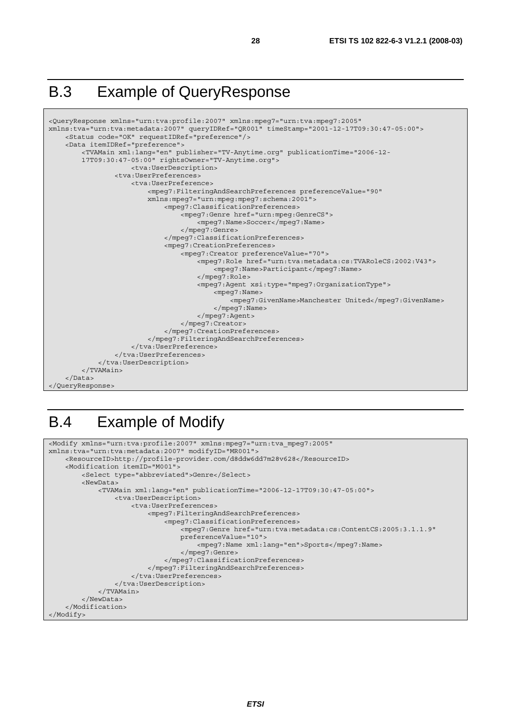# B.3 Example of QueryResponse



# B.4 Example of Modify

```
<Modify xmlns="urn:tva:profile:2007" xmlns:mpeg7="urn:tva_mpeg7:2005" 
xmlns:tva="urn:tva:metadata:2007" modifyID="MR001"> 
     <ResourceID>http://profile-provider.com/d8ddw6dd7m28v628</ResourceID> 
     <Modification itemID="M001"> 
         <Select type="abbreviated">Genre</Select> 
         <NewData> 
             <TVAMain xml:lang="en" publicationTime="2006-12-17T09:30:47-05:00"> 
                  <tva:UserDescription> 
                      <tva:UserPreferences> 
                          <mpeg7:FilteringAndSearchPreferences> 
                               <mpeg7:ClassificationPreferences> 
                                   <mpeg7:Genre href="urn:tva:metadata:cs:ContentCS:2005:3.1.1.9" 
                                   preferenceValue="10"> 
                                        <mpeg7:Name xml:lang="en">Sports</mpeg7:Name> 
                                   </mpeg7:Genre> 
                               </mpeg7:ClassificationPreferences> 
                           </mpeg7:FilteringAndSearchPreferences> 
                      </tva:UserPreferences> 
                  </tva:UserDescription> 
              </TVAMain> 
         </NewData> 
     </Modification> 
</Modify>
```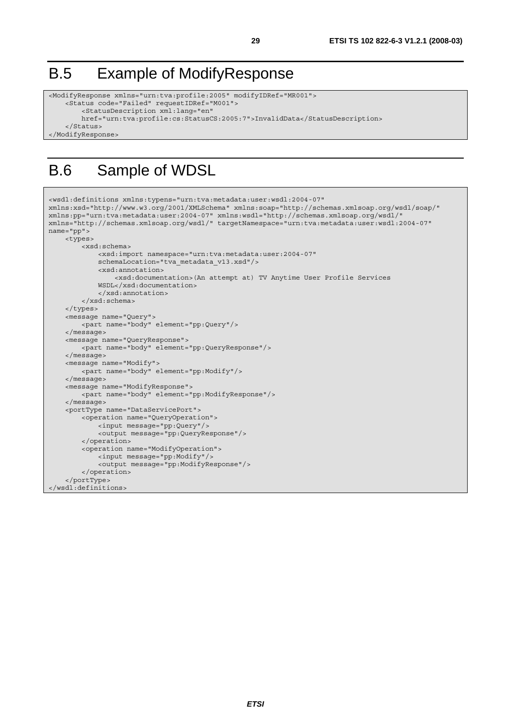# B.5 Example of ModifyResponse

```
<ModifyResponse xmlns="urn:tva:profile:2005" modifyIDRef="MR001"> 
     <Status code="Failed" requestIDRef="M001"> 
         <StatusDescription xml:lang="en" 
         href="urn:tva:profile:cs:StatusCS:2005:7">InvalidData</StatusDescription> 
     </Status> 
</ModifyResponse>
```
# B.6 Sample of WDSL

```
<wsdl:definitions xmlns:typens="urn:tva:metadata:user:wsdl:2004-07" 
xmlns:xsd="http://www.w3.org/2001/XMLSchema" xmlns:soap="http://schemas.xmlsoap.org/wsdl/soap/" 
xmlns:pp="urn:tva:metadata:user:2004-07" xmlns:wsdl="http://schemas.xmlsoap.org/wsdl/" 
xmlns="http://schemas.xmlsoap.org/wsdl/" targetNamespace="urn:tva:metadata:user:wsdl:2004-07" 
name="pp"> 
     <types> 
         <xsd:schema> 
             <xsd:import namespace="urn:tva:metadata:user:2004-07" 
             schemaLocation="tva_metadata_v13.xsd"/> 
             <xsd:annotation> 
                  <xsd:documentation>(An attempt at) TV Anytime User Profile Services 
             WSDL</xsd:documentation> 
              </xsd:annotation> 
         </xsd:schema> 
     </types> 
     <message name="Query"> 
         <part name="body" element="pp:Query"/> 
     </message> 
     <message name="QueryResponse"> 
         <part name="body" element="pp:QueryResponse"/> 
     </message> 
     <message name="Modify"> 
         <part name="body" element="pp:Modify"/> 
     </message> 
     <message name="ModifyResponse"> 
         <part name="body" element="pp:ModifyResponse"/> 
     </message> 
     <portType name="DataServicePort"> 
         <operation name="QueryOperation"> 
             <input message="pp:Query"/> 
              <output message="pp:QueryResponse"/> 
         </operation> 
         <operation name="ModifyOperation"> 
             <input message="pp:Modify"/> 
             <output message="pp:ModifyResponse"/> 
         </operation> 
     </portType> 
</wsdl:definitions>
```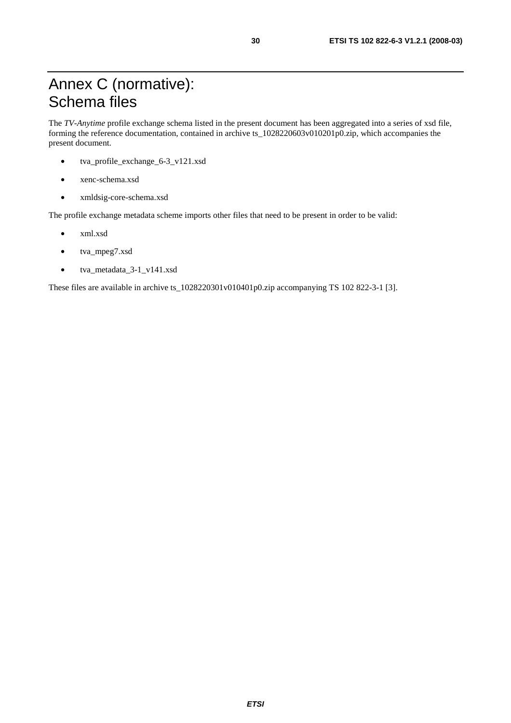# Annex C (normative): Schema files

The *TV-Anytime* profile exchange schema listed in the present document has been aggregated into a series of xsd file, forming the reference documentation, contained in archive ts\_1028220603v010201p0.zip, which accompanies the present document.

- tva\_profile\_exchange\_6-3\_v121.xsd
- xenc-schema.xsd
- xmldsig-core-schema.xsd

The profile exchange metadata scheme imports other files that need to be present in order to be valid:

- xml.xsd
- tva\_mpeg7.xsd
- tva\_metadata\_3-1\_v141.xsd

These files are available in archive ts\_1028220301v010401p0.zip accompanying TS 102 822-3-1 [3].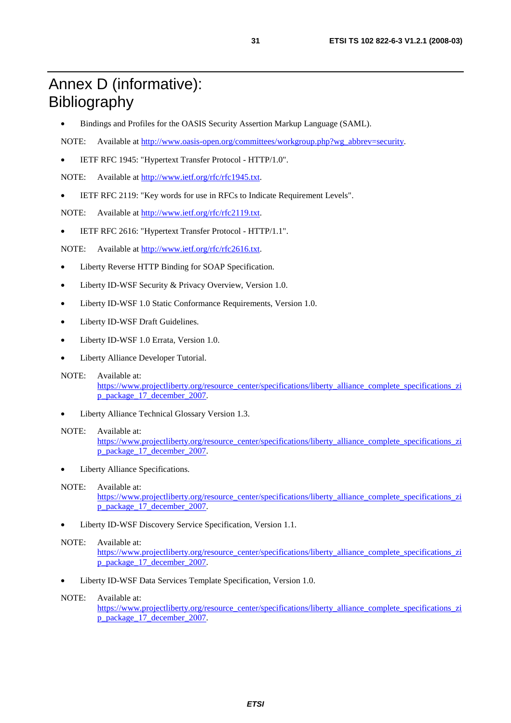# Annex D (informative): Bibliography

- Bindings and Profiles for the OASIS Security Assertion Markup Language (SAML).
- NOTE: Available at [http://www.oasis-open.org/committees/workgroup.php?wg\\_abbrev=security.](http://www.oasis-open.org/committees/workgroup.php?wg_abbrev=security)
- IETF RFC 1945: "Hypertext Transfer Protocol HTTP/1.0".

NOTE: Available at [http://www.ietf.org/rfc/rfc1945.txt.](ftp://ftp.rfc-editor.org/in-notes/rfc1945.txt)

• IETF RFC 2119: "Key words for use in RFCs to Indicate Requirement Levels".

NOTE: Available at [http://www.ietf.org/rfc/rfc2119.txt.](http://www.ietf.org/rfc/rfc2119.txt)

• IETF RFC 2616: "Hypertext Transfer Protocol - HTTP/1.1".

NOTE: Available at [http://www.ietf.org/rfc/rfc2616.txt.](ftp://ftp.rfc-editor.org/in-notes/rfc2616.txt)

- Liberty Reverse HTTP Binding for SOAP Specification.
- Liberty ID-WSF Security & Privacy Overview, Version 1.0.
- Liberty ID-WSF 1.0 Static Conformance Requirements, Version 1.0.
- Liberty ID-WSF Draft Guidelines.
- Liberty ID-WSF 1.0 Errata, Version 1.0.
- Liberty Alliance Developer Tutorial.
- NOTE: Available at: [https://www.projectliberty.org/resource\\_center/specifications/liberty\\_alliance\\_complete\\_specifications\\_zi](https://www.projectliberty.org/resource_center/specifications/liberty_alliance_complete_specifications_zip_package_17_december_2007) [p\\_package\\_17\\_december\\_2007](https://www.projectliberty.org/resource_center/specifications/liberty_alliance_complete_specifications_zip_package_17_december_2007).
- Liberty Alliance Technical Glossary Version 1.3.

#### NOTE: Available at: [https://www.projectliberty.org/resource\\_center/specifications/liberty\\_alliance\\_complete\\_specifications\\_zi](https://www.projectliberty.org/resource_center/specifications/liberty_alliance_complete_specifications_zip_package_17_december_2007) [p\\_package\\_17\\_december\\_2007](https://www.projectliberty.org/resource_center/specifications/liberty_alliance_complete_specifications_zip_package_17_december_2007).

Liberty Alliance Specifications.

#### NOTE: Available at:

[https://www.projectliberty.org/resource\\_center/specifications/liberty\\_alliance\\_complete\\_specifications\\_zi](https://www.projectliberty.org/resource_center/specifications/liberty_alliance_complete_specifications_zip_package_17_december_2007) [p\\_package\\_17\\_december\\_2007](https://www.projectliberty.org/resource_center/specifications/liberty_alliance_complete_specifications_zip_package_17_december_2007).

• Liberty ID-WSF Discovery Service Specification, Version 1.1.

#### NOTE: Available at:

[https://www.projectliberty.org/resource\\_center/specifications/liberty\\_alliance\\_complete\\_specifications\\_zi](https://www.projectliberty.org/resource_center/specifications/liberty_alliance_complete_specifications_zip_package_17_december_2007) [p\\_package\\_17\\_december\\_2007](https://www.projectliberty.org/resource_center/specifications/liberty_alliance_complete_specifications_zip_package_17_december_2007).

• Liberty ID-WSF Data Services Template Specification, Version 1.0.

#### NOTE: Available at:

[https://www.projectliberty.org/resource\\_center/specifications/liberty\\_alliance\\_complete\\_specifications\\_zi](https://www.projectliberty.org/resource_center/specifications/liberty_alliance_complete_specifications_zip_package_17_december_2007) [p\\_package\\_17\\_december\\_2007](https://www.projectliberty.org/resource_center/specifications/liberty_alliance_complete_specifications_zip_package_17_december_2007).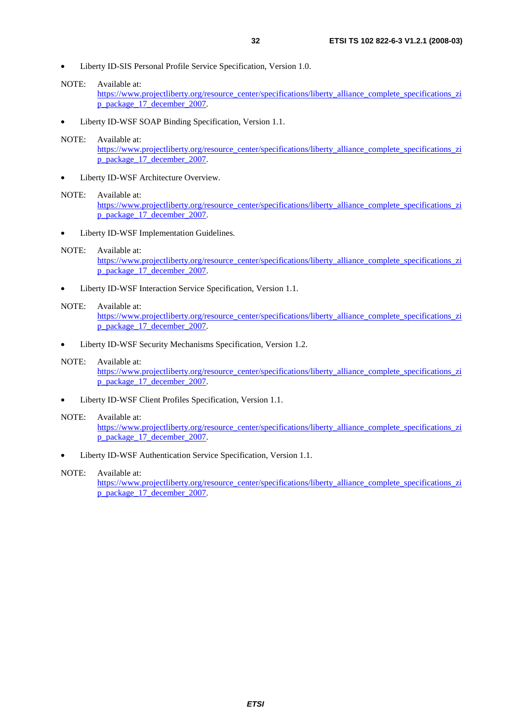- Liberty ID-SIS Personal Profile Service Specification, Version 1.0.
- NOTE: Available at:

[https://www.projectliberty.org/resource\\_center/specifications/liberty\\_alliance\\_complete\\_specifications\\_zi](https://www.projectliberty.org/resource_center/specifications/liberty_alliance_complete_specifications_zip_package_17_december_2007) [p\\_package\\_17\\_december\\_2007](https://www.projectliberty.org/resource_center/specifications/liberty_alliance_complete_specifications_zip_package_17_december_2007).

• Liberty ID-WSF SOAP Binding Specification, Version 1.1.

#### NOTE: Available at:

[https://www.projectliberty.org/resource\\_center/specifications/liberty\\_alliance\\_complete\\_specifications\\_zi](https://www.projectliberty.org/resource_center/specifications/liberty_alliance_complete_specifications_zip_package_17_december_2007) [p\\_package\\_17\\_december\\_2007](https://www.projectliberty.org/resource_center/specifications/liberty_alliance_complete_specifications_zip_package_17_december_2007).

Liberty ID-WSF Architecture Overview.

#### NOTE: Available at:

[https://www.projectliberty.org/resource\\_center/specifications/liberty\\_alliance\\_complete\\_specifications\\_zi](https://www.projectliberty.org/resource_center/specifications/liberty_alliance_complete_specifications_zip_package_17_december_2007) [p\\_package\\_17\\_december\\_2007](https://www.projectliberty.org/resource_center/specifications/liberty_alliance_complete_specifications_zip_package_17_december_2007).

Liberty ID-WSF Implementation Guidelines.

#### NOTE: Available at:

[https://www.projectliberty.org/resource\\_center/specifications/liberty\\_alliance\\_complete\\_specifications\\_zi](https://www.projectliberty.org/resource_center/specifications/liberty_alliance_complete_specifications_zip_package_17_december_2007) [p\\_package\\_17\\_december\\_2007](https://www.projectliberty.org/resource_center/specifications/liberty_alliance_complete_specifications_zip_package_17_december_2007).

• Liberty ID-WSF Interaction Service Specification, Version 1.1.

#### NOTE: Available at:

[https://www.projectliberty.org/resource\\_center/specifications/liberty\\_alliance\\_complete\\_specifications\\_zi](https://www.projectliberty.org/resource_center/specifications/liberty_alliance_complete_specifications_zip_package_17_december_2007) [p\\_package\\_17\\_december\\_2007](https://www.projectliberty.org/resource_center/specifications/liberty_alliance_complete_specifications_zip_package_17_december_2007).

• Liberty ID-WSF Security Mechanisms Specification, Version 1.2.

#### NOTE: Available at:

[https://www.projectliberty.org/resource\\_center/specifications/liberty\\_alliance\\_complete\\_specifications\\_zi](https://www.projectliberty.org/resource_center/specifications/liberty_alliance_complete_specifications_zip_package_17_december_2007) [p\\_package\\_17\\_december\\_2007](https://www.projectliberty.org/resource_center/specifications/liberty_alliance_complete_specifications_zip_package_17_december_2007).

• Liberty ID-WSF Client Profiles Specification, Version 1.1.

#### NOTE: Available at:

[https://www.projectliberty.org/resource\\_center/specifications/liberty\\_alliance\\_complete\\_specifications\\_zi](https://www.projectliberty.org/resource_center/specifications/liberty_alliance_complete_specifications_zip_package_17_december_2007) [p\\_package\\_17\\_december\\_2007](https://www.projectliberty.org/resource_center/specifications/liberty_alliance_complete_specifications_zip_package_17_december_2007).

• Liberty ID-WSF Authentication Service Specification, Version 1.1.

#### NOTE: Available at:

[https://www.projectliberty.org/resource\\_center/specifications/liberty\\_alliance\\_complete\\_specifications\\_zi](https://www.projectliberty.org/resource_center/specifications/liberty_alliance_complete_specifications_zip_package_17_december_2007) [p\\_package\\_17\\_december\\_2007](https://www.projectliberty.org/resource_center/specifications/liberty_alliance_complete_specifications_zip_package_17_december_2007).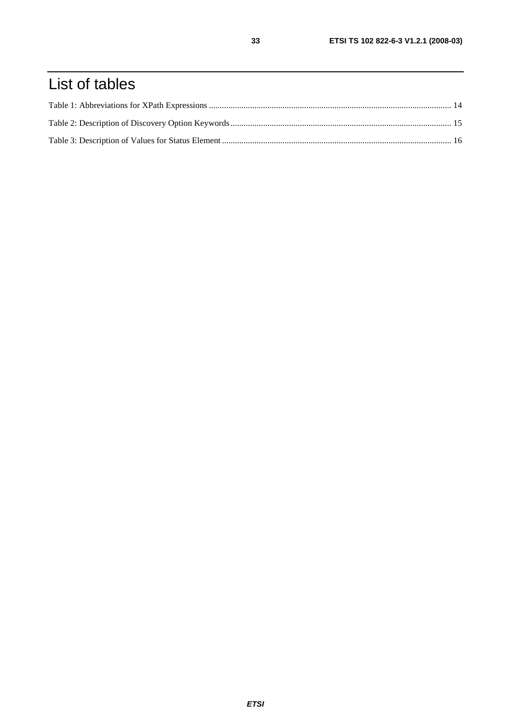# List of tables